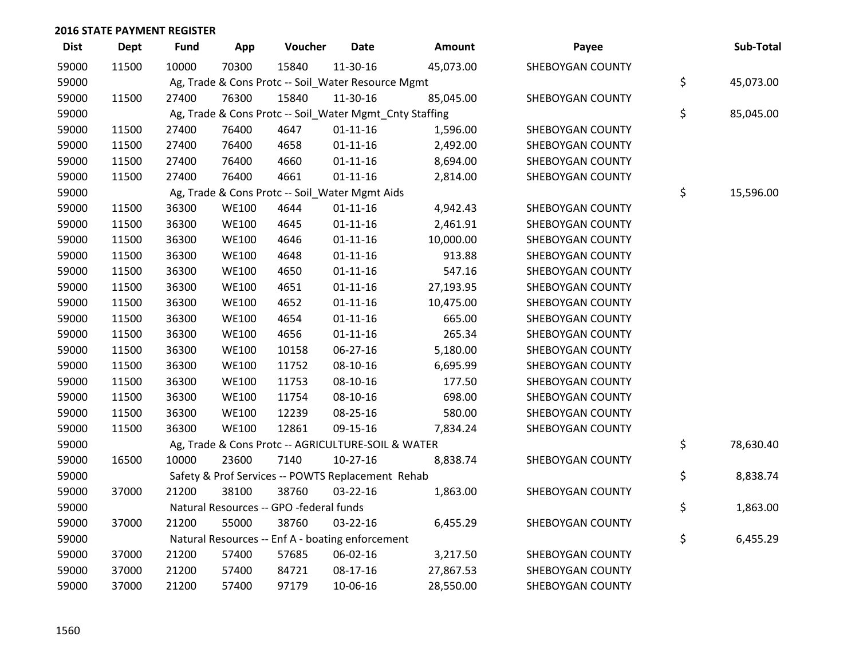| <b>Dist</b> | <b>Dept</b> | <b>Fund</b> | App          | Voucher                                                 | <b>Date</b>    | Amount    | Payee            | Sub-Total       |
|-------------|-------------|-------------|--------------|---------------------------------------------------------|----------------|-----------|------------------|-----------------|
| 59000       | 11500       | 10000       | 70300        | 15840                                                   | 11-30-16       | 45,073.00 | SHEBOYGAN COUNTY |                 |
| 59000       |             |             |              | Ag, Trade & Cons Protc -- Soil_Water Resource Mgmt      |                |           |                  | \$<br>45,073.00 |
| 59000       | 11500       | 27400       | 76300        | 15840                                                   | 11-30-16       | 85,045.00 | SHEBOYGAN COUNTY |                 |
| 59000       |             |             |              | Ag, Trade & Cons Protc -- Soil_Water Mgmt_Cnty Staffing |                |           |                  | \$<br>85,045.00 |
| 59000       | 11500       | 27400       | 76400        | 4647                                                    | $01 - 11 - 16$ | 1,596.00  | SHEBOYGAN COUNTY |                 |
| 59000       | 11500       | 27400       | 76400        | 4658                                                    | $01 - 11 - 16$ | 2,492.00  | SHEBOYGAN COUNTY |                 |
| 59000       | 11500       | 27400       | 76400        | 4660                                                    | $01 - 11 - 16$ | 8,694.00  | SHEBOYGAN COUNTY |                 |
| 59000       | 11500       | 27400       | 76400        | 4661                                                    | $01 - 11 - 16$ | 2,814.00  | SHEBOYGAN COUNTY |                 |
| 59000       |             |             |              | Ag, Trade & Cons Protc -- Soil_Water Mgmt Aids          |                |           |                  | \$<br>15,596.00 |
| 59000       | 11500       | 36300       | <b>WE100</b> | 4644                                                    | $01-11-16$     | 4,942.43  | SHEBOYGAN COUNTY |                 |
| 59000       | 11500       | 36300       | <b>WE100</b> | 4645                                                    | $01 - 11 - 16$ | 2,461.91  | SHEBOYGAN COUNTY |                 |
| 59000       | 11500       | 36300       | <b>WE100</b> | 4646                                                    | $01 - 11 - 16$ | 10,000.00 | SHEBOYGAN COUNTY |                 |
| 59000       | 11500       | 36300       | <b>WE100</b> | 4648                                                    | $01 - 11 - 16$ | 913.88    | SHEBOYGAN COUNTY |                 |
| 59000       | 11500       | 36300       | <b>WE100</b> | 4650                                                    | $01 - 11 - 16$ | 547.16    | SHEBOYGAN COUNTY |                 |
| 59000       | 11500       | 36300       | <b>WE100</b> | 4651                                                    | $01 - 11 - 16$ | 27,193.95 | SHEBOYGAN COUNTY |                 |
| 59000       | 11500       | 36300       | <b>WE100</b> | 4652                                                    | $01 - 11 - 16$ | 10,475.00 | SHEBOYGAN COUNTY |                 |
| 59000       | 11500       | 36300       | <b>WE100</b> | 4654                                                    | $01 - 11 - 16$ | 665.00    | SHEBOYGAN COUNTY |                 |
| 59000       | 11500       | 36300       | <b>WE100</b> | 4656                                                    | $01 - 11 - 16$ | 265.34    | SHEBOYGAN COUNTY |                 |
| 59000       | 11500       | 36300       | <b>WE100</b> | 10158                                                   | 06-27-16       | 5,180.00  | SHEBOYGAN COUNTY |                 |
| 59000       | 11500       | 36300       | <b>WE100</b> | 11752                                                   | 08-10-16       | 6,695.99  | SHEBOYGAN COUNTY |                 |
| 59000       | 11500       | 36300       | <b>WE100</b> | 11753                                                   | 08-10-16       | 177.50    | SHEBOYGAN COUNTY |                 |
| 59000       | 11500       | 36300       | <b>WE100</b> | 11754                                                   | 08-10-16       | 698.00    | SHEBOYGAN COUNTY |                 |
| 59000       | 11500       | 36300       | <b>WE100</b> | 12239                                                   | 08-25-16       | 580.00    | SHEBOYGAN COUNTY |                 |
| 59000       | 11500       | 36300       | <b>WE100</b> | 12861                                                   | 09-15-16       | 7,834.24  | SHEBOYGAN COUNTY |                 |
| 59000       |             |             |              | Ag, Trade & Cons Protc -- AGRICULTURE-SOIL & WATER      |                |           |                  | \$<br>78,630.40 |
| 59000       | 16500       | 10000       | 23600        | 7140                                                    | $10-27-16$     | 8,838.74  | SHEBOYGAN COUNTY |                 |
| 59000       |             |             |              | Safety & Prof Services -- POWTS Replacement Rehab       |                |           |                  | \$<br>8,838.74  |
| 59000       | 37000       | 21200       | 38100        | 38760                                                   | 03-22-16       | 1,863.00  | SHEBOYGAN COUNTY |                 |
| 59000       |             |             |              | Natural Resources -- GPO -federal funds                 |                |           |                  | \$<br>1,863.00  |
| 59000       | 37000       | 21200       | 55000        | 38760                                                   | 03-22-16       | 6,455.29  | SHEBOYGAN COUNTY |                 |
| 59000       |             |             |              | Natural Resources -- Enf A - boating enforcement        |                |           |                  | \$<br>6,455.29  |
| 59000       | 37000       | 21200       | 57400        | 57685                                                   | 06-02-16       | 3,217.50  | SHEBOYGAN COUNTY |                 |
| 59000       | 37000       | 21200       | 57400        | 84721                                                   | 08-17-16       | 27,867.53 | SHEBOYGAN COUNTY |                 |
| 59000       | 37000       | 21200       | 57400        | 97179                                                   | 10-06-16       | 28,550.00 | SHEBOYGAN COUNTY |                 |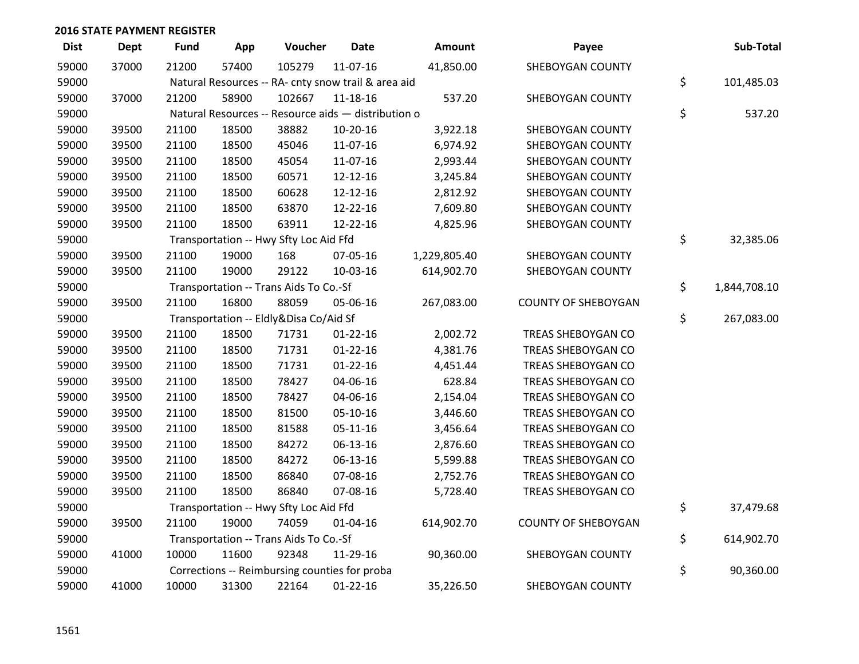| <b>Dist</b> | <b>Dept</b> | <b>Fund</b> | App   | Voucher                                             | <b>Date</b>    | Amount       | Payee                      | Sub-Total          |
|-------------|-------------|-------------|-------|-----------------------------------------------------|----------------|--------------|----------------------------|--------------------|
| 59000       | 37000       | 21200       | 57400 | 105279                                              | 11-07-16       | 41,850.00    | SHEBOYGAN COUNTY           |                    |
| 59000       |             |             |       | Natural Resources -- RA- cnty snow trail & area aid |                |              |                            | \$<br>101,485.03   |
| 59000       | 37000       | 21200       | 58900 | 102667                                              | $11 - 18 - 16$ | 537.20       | SHEBOYGAN COUNTY           |                    |
| 59000       |             |             |       | Natural Resources -- Resource aids - distribution o |                |              |                            | \$<br>537.20       |
| 59000       | 39500       | 21100       | 18500 | 38882                                               | 10-20-16       | 3,922.18     | SHEBOYGAN COUNTY           |                    |
| 59000       | 39500       | 21100       | 18500 | 45046                                               | 11-07-16       | 6,974.92     | SHEBOYGAN COUNTY           |                    |
| 59000       | 39500       | 21100       | 18500 | 45054                                               | 11-07-16       | 2,993.44     | SHEBOYGAN COUNTY           |                    |
| 59000       | 39500       | 21100       | 18500 | 60571                                               | 12-12-16       | 3,245.84     | SHEBOYGAN COUNTY           |                    |
| 59000       | 39500       | 21100       | 18500 | 60628                                               | 12-12-16       | 2,812.92     | SHEBOYGAN COUNTY           |                    |
| 59000       | 39500       | 21100       | 18500 | 63870                                               | 12-22-16       | 7,609.80     | SHEBOYGAN COUNTY           |                    |
| 59000       | 39500       | 21100       | 18500 | 63911                                               | 12-22-16       | 4,825.96     | SHEBOYGAN COUNTY           |                    |
| 59000       |             |             |       | Transportation -- Hwy Sfty Loc Aid Ffd              |                |              |                            | \$<br>32,385.06    |
| 59000       | 39500       | 21100       | 19000 | 168                                                 | 07-05-16       | 1,229,805.40 | SHEBOYGAN COUNTY           |                    |
| 59000       | 39500       | 21100       | 19000 | 29122                                               | 10-03-16       | 614,902.70   | SHEBOYGAN COUNTY           |                    |
| 59000       |             |             |       | Transportation -- Trans Aids To Co.-Sf              |                |              |                            | \$<br>1,844,708.10 |
| 59000       | 39500       | 21100       | 16800 | 88059                                               | 05-06-16       | 267,083.00   | <b>COUNTY OF SHEBOYGAN</b> |                    |
| 59000       |             |             |       | Transportation -- Eldly&Disa Co/Aid Sf              |                |              |                            | \$<br>267,083.00   |
| 59000       | 39500       | 21100       | 18500 | 71731                                               | $01 - 22 - 16$ | 2,002.72     | TREAS SHEBOYGAN CO         |                    |
| 59000       | 39500       | 21100       | 18500 | 71731                                               | $01 - 22 - 16$ | 4,381.76     | TREAS SHEBOYGAN CO         |                    |
| 59000       | 39500       | 21100       | 18500 | 71731                                               | $01 - 22 - 16$ | 4,451.44     | TREAS SHEBOYGAN CO         |                    |
| 59000       | 39500       | 21100       | 18500 | 78427                                               | 04-06-16       | 628.84       | TREAS SHEBOYGAN CO         |                    |
| 59000       | 39500       | 21100       | 18500 | 78427                                               | 04-06-16       | 2,154.04     | TREAS SHEBOYGAN CO         |                    |
| 59000       | 39500       | 21100       | 18500 | 81500                                               | $05-10-16$     | 3,446.60     | TREAS SHEBOYGAN CO         |                    |
| 59000       | 39500       | 21100       | 18500 | 81588                                               | $05 - 11 - 16$ | 3,456.64     | TREAS SHEBOYGAN CO         |                    |
| 59000       | 39500       | 21100       | 18500 | 84272                                               | 06-13-16       | 2,876.60     | TREAS SHEBOYGAN CO         |                    |
| 59000       | 39500       | 21100       | 18500 | 84272                                               | 06-13-16       | 5,599.88     | TREAS SHEBOYGAN CO         |                    |
| 59000       | 39500       | 21100       | 18500 | 86840                                               | 07-08-16       | 2,752.76     | TREAS SHEBOYGAN CO         |                    |
| 59000       | 39500       | 21100       | 18500 | 86840                                               | 07-08-16       | 5,728.40     | TREAS SHEBOYGAN CO         |                    |
| 59000       |             |             |       | Transportation -- Hwy Sfty Loc Aid Ffd              |                |              |                            | \$<br>37,479.68    |
| 59000       | 39500       | 21100       | 19000 | 74059                                               | $01 - 04 - 16$ | 614,902.70   | <b>COUNTY OF SHEBOYGAN</b> |                    |
| 59000       |             |             |       | Transportation -- Trans Aids To Co.-Sf              |                |              |                            | \$<br>614,902.70   |
| 59000       | 41000       | 10000       | 11600 | 92348                                               | 11-29-16       | 90,360.00    | SHEBOYGAN COUNTY           |                    |
| 59000       |             |             |       | Corrections -- Reimbursing counties for proba       |                |              |                            | \$<br>90,360.00    |
| 59000       | 41000       | 10000       | 31300 | 22164                                               | $01 - 22 - 16$ | 35,226.50    | SHEBOYGAN COUNTY           |                    |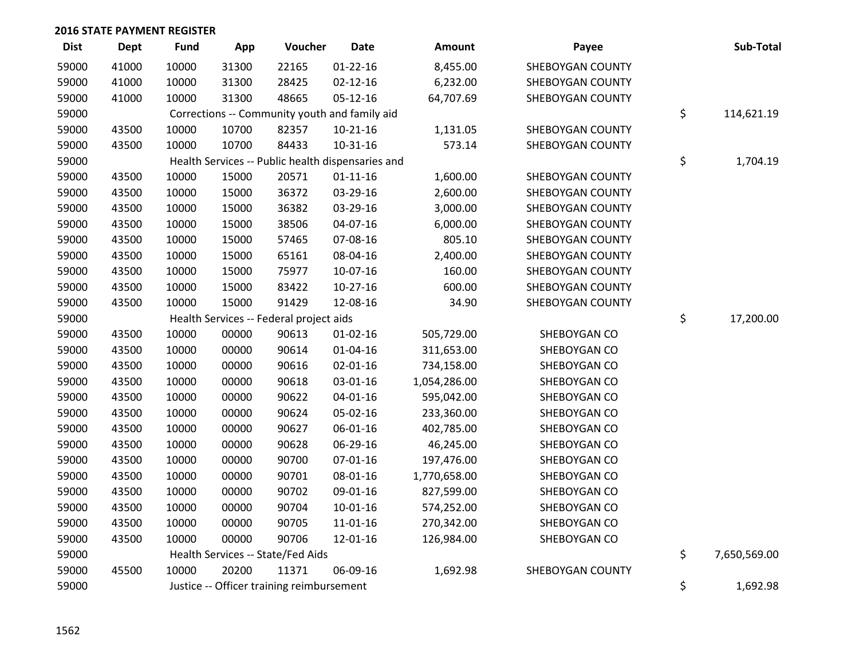| <b>Dist</b> | <b>Dept</b> | <b>Fund</b> | App   | Voucher                                           | <b>Date</b>    | Amount       | Payee                   | Sub-Total          |
|-------------|-------------|-------------|-------|---------------------------------------------------|----------------|--------------|-------------------------|--------------------|
| 59000       | 41000       | 10000       | 31300 | 22165                                             | $01 - 22 - 16$ | 8,455.00     | SHEBOYGAN COUNTY        |                    |
| 59000       | 41000       | 10000       | 31300 | 28425                                             | $02 - 12 - 16$ | 6,232.00     | SHEBOYGAN COUNTY        |                    |
| 59000       | 41000       | 10000       | 31300 | 48665                                             | $05 - 12 - 16$ | 64,707.69    | SHEBOYGAN COUNTY        |                    |
| 59000       |             |             |       | Corrections -- Community youth and family aid     |                |              |                         | \$<br>114,621.19   |
| 59000       | 43500       | 10000       | 10700 | 82357                                             | $10-21-16$     | 1,131.05     | SHEBOYGAN COUNTY        |                    |
| 59000       | 43500       | 10000       | 10700 | 84433                                             | $10-31-16$     | 573.14       | SHEBOYGAN COUNTY        |                    |
| 59000       |             |             |       | Health Services -- Public health dispensaries and |                |              |                         | \$<br>1,704.19     |
| 59000       | 43500       | 10000       | 15000 | 20571                                             | $01 - 11 - 16$ | 1,600.00     | SHEBOYGAN COUNTY        |                    |
| 59000       | 43500       | 10000       | 15000 | 36372                                             | 03-29-16       | 2,600.00     | SHEBOYGAN COUNTY        |                    |
| 59000       | 43500       | 10000       | 15000 | 36382                                             | 03-29-16       | 3,000.00     | SHEBOYGAN COUNTY        |                    |
| 59000       | 43500       | 10000       | 15000 | 38506                                             | 04-07-16       | 6,000.00     | <b>SHEBOYGAN COUNTY</b> |                    |
| 59000       | 43500       | 10000       | 15000 | 57465                                             | 07-08-16       | 805.10       | <b>SHEBOYGAN COUNTY</b> |                    |
| 59000       | 43500       | 10000       | 15000 | 65161                                             | 08-04-16       | 2,400.00     | SHEBOYGAN COUNTY        |                    |
| 59000       | 43500       | 10000       | 15000 | 75977                                             | 10-07-16       | 160.00       | SHEBOYGAN COUNTY        |                    |
| 59000       | 43500       | 10000       | 15000 | 83422                                             | 10-27-16       | 600.00       | SHEBOYGAN COUNTY        |                    |
| 59000       | 43500       | 10000       | 15000 | 91429                                             | 12-08-16       | 34.90        | SHEBOYGAN COUNTY        |                    |
| 59000       |             |             |       | Health Services -- Federal project aids           |                |              |                         | \$<br>17,200.00    |
| 59000       | 43500       | 10000       | 00000 | 90613                                             | $01 - 02 - 16$ | 505,729.00   | SHEBOYGAN CO            |                    |
| 59000       | 43500       | 10000       | 00000 | 90614                                             | $01 - 04 - 16$ | 311,653.00   | SHEBOYGAN CO            |                    |
| 59000       | 43500       | 10000       | 00000 | 90616                                             | $02 - 01 - 16$ | 734,158.00   | SHEBOYGAN CO            |                    |
| 59000       | 43500       | 10000       | 00000 | 90618                                             | 03-01-16       | 1,054,286.00 | SHEBOYGAN CO            |                    |
| 59000       | 43500       | 10000       | 00000 | 90622                                             | 04-01-16       | 595,042.00   | SHEBOYGAN CO            |                    |
| 59000       | 43500       | 10000       | 00000 | 90624                                             | 05-02-16       | 233,360.00   | SHEBOYGAN CO            |                    |
| 59000       | 43500       | 10000       | 00000 | 90627                                             | 06-01-16       | 402,785.00   | SHEBOYGAN CO            |                    |
| 59000       | 43500       | 10000       | 00000 | 90628                                             | 06-29-16       | 46,245.00    | SHEBOYGAN CO            |                    |
| 59000       | 43500       | 10000       | 00000 | 90700                                             | $07 - 01 - 16$ | 197,476.00   | SHEBOYGAN CO            |                    |
| 59000       | 43500       | 10000       | 00000 | 90701                                             | 08-01-16       | 1,770,658.00 | SHEBOYGAN CO            |                    |
| 59000       | 43500       | 10000       | 00000 | 90702                                             | 09-01-16       | 827,599.00   | SHEBOYGAN CO            |                    |
| 59000       | 43500       | 10000       | 00000 | 90704                                             | $10 - 01 - 16$ | 574,252.00   | SHEBOYGAN CO            |                    |
| 59000       | 43500       | 10000       | 00000 | 90705                                             | 11-01-16       | 270,342.00   | SHEBOYGAN CO            |                    |
| 59000       | 43500       | 10000       | 00000 | 90706                                             | 12-01-16       | 126,984.00   | SHEBOYGAN CO            |                    |
| 59000       |             |             |       | Health Services -- State/Fed Aids                 |                |              |                         | \$<br>7,650,569.00 |
| 59000       | 45500       | 10000       | 20200 | 11371                                             | 06-09-16       | 1,692.98     | SHEBOYGAN COUNTY        |                    |
| 59000       |             |             |       | Justice -- Officer training reimbursement         |                |              |                         | \$<br>1,692.98     |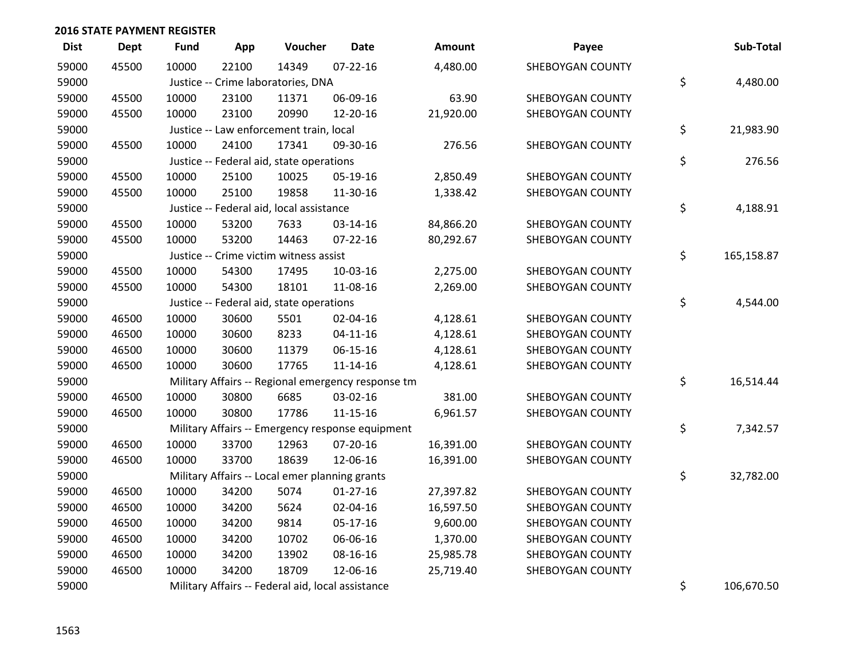| <b>Dist</b> | <b>Dept</b> | <b>Fund</b> | App   | Voucher                                           | Date                                               | Amount    | Payee            | Sub-Total        |
|-------------|-------------|-------------|-------|---------------------------------------------------|----------------------------------------------------|-----------|------------------|------------------|
| 59000       | 45500       | 10000       | 22100 | 14349                                             | $07 - 22 - 16$                                     | 4,480.00  | SHEBOYGAN COUNTY |                  |
| 59000       |             |             |       | Justice -- Crime laboratories, DNA                |                                                    |           |                  | \$<br>4,480.00   |
| 59000       | 45500       | 10000       | 23100 | 11371                                             | 06-09-16                                           | 63.90     | SHEBOYGAN COUNTY |                  |
| 59000       | 45500       | 10000       | 23100 | 20990                                             | 12-20-16                                           | 21,920.00 | SHEBOYGAN COUNTY |                  |
| 59000       |             |             |       | Justice -- Law enforcement train, local           |                                                    |           |                  | \$<br>21,983.90  |
| 59000       | 45500       | 10000       | 24100 | 17341                                             | 09-30-16                                           | 276.56    | SHEBOYGAN COUNTY |                  |
| 59000       |             |             |       | Justice -- Federal aid, state operations          |                                                    |           |                  | \$<br>276.56     |
| 59000       | 45500       | 10000       | 25100 | 10025                                             | 05-19-16                                           | 2,850.49  | SHEBOYGAN COUNTY |                  |
| 59000       | 45500       | 10000       | 25100 | 19858                                             | 11-30-16                                           | 1,338.42  | SHEBOYGAN COUNTY |                  |
| 59000       |             |             |       | Justice -- Federal aid, local assistance          |                                                    |           |                  | \$<br>4,188.91   |
| 59000       | 45500       | 10000       | 53200 | 7633                                              | 03-14-16                                           | 84,866.20 | SHEBOYGAN COUNTY |                  |
| 59000       | 45500       | 10000       | 53200 | 14463                                             | $07 - 22 - 16$                                     | 80,292.67 | SHEBOYGAN COUNTY |                  |
| 59000       |             |             |       | Justice -- Crime victim witness assist            |                                                    |           |                  | \$<br>165,158.87 |
| 59000       | 45500       | 10000       | 54300 | 17495                                             | 10-03-16                                           | 2,275.00  | SHEBOYGAN COUNTY |                  |
| 59000       | 45500       | 10000       | 54300 | 18101                                             | 11-08-16                                           | 2,269.00  | SHEBOYGAN COUNTY |                  |
| 59000       |             |             |       | Justice -- Federal aid, state operations          |                                                    |           |                  | \$<br>4,544.00   |
| 59000       | 46500       | 10000       | 30600 | 5501                                              | 02-04-16                                           | 4,128.61  | SHEBOYGAN COUNTY |                  |
| 59000       | 46500       | 10000       | 30600 | 8233                                              | $04-11-16$                                         | 4,128.61  | SHEBOYGAN COUNTY |                  |
| 59000       | 46500       | 10000       | 30600 | 11379                                             | 06-15-16                                           | 4,128.61  | SHEBOYGAN COUNTY |                  |
| 59000       | 46500       | 10000       | 30600 | 17765                                             | $11 - 14 - 16$                                     | 4,128.61  | SHEBOYGAN COUNTY |                  |
| 59000       |             |             |       |                                                   | Military Affairs -- Regional emergency response tm |           |                  | \$<br>16,514.44  |
| 59000       | 46500       | 10000       | 30800 | 6685                                              | 03-02-16                                           | 381.00    | SHEBOYGAN COUNTY |                  |
| 59000       | 46500       | 10000       | 30800 | 17786                                             | 11-15-16                                           | 6,961.57  | SHEBOYGAN COUNTY |                  |
| 59000       |             |             |       |                                                   | Military Affairs -- Emergency response equipment   |           |                  | \$<br>7,342.57   |
| 59000       | 46500       | 10000       | 33700 | 12963                                             | 07-20-16                                           | 16,391.00 | SHEBOYGAN COUNTY |                  |
| 59000       | 46500       | 10000       | 33700 | 18639                                             | 12-06-16                                           | 16,391.00 | SHEBOYGAN COUNTY |                  |
| 59000       |             |             |       | Military Affairs -- Local emer planning grants    |                                                    |           |                  | \$<br>32,782.00  |
| 59000       | 46500       | 10000       | 34200 | 5074                                              | $01-27-16$                                         | 27,397.82 | SHEBOYGAN COUNTY |                  |
| 59000       | 46500       | 10000       | 34200 | 5624                                              | 02-04-16                                           | 16,597.50 | SHEBOYGAN COUNTY |                  |
| 59000       | 46500       | 10000       | 34200 | 9814                                              | $05-17-16$                                         | 9,600.00  | SHEBOYGAN COUNTY |                  |
| 59000       | 46500       | 10000       | 34200 | 10702                                             | 06-06-16                                           | 1,370.00  | SHEBOYGAN COUNTY |                  |
| 59000       | 46500       | 10000       | 34200 | 13902                                             | 08-16-16                                           | 25,985.78 | SHEBOYGAN COUNTY |                  |
| 59000       | 46500       | 10000       | 34200 | 18709                                             | 12-06-16                                           | 25,719.40 | SHEBOYGAN COUNTY |                  |
| 59000       |             |             |       | Military Affairs -- Federal aid, local assistance |                                                    |           |                  | \$<br>106,670.50 |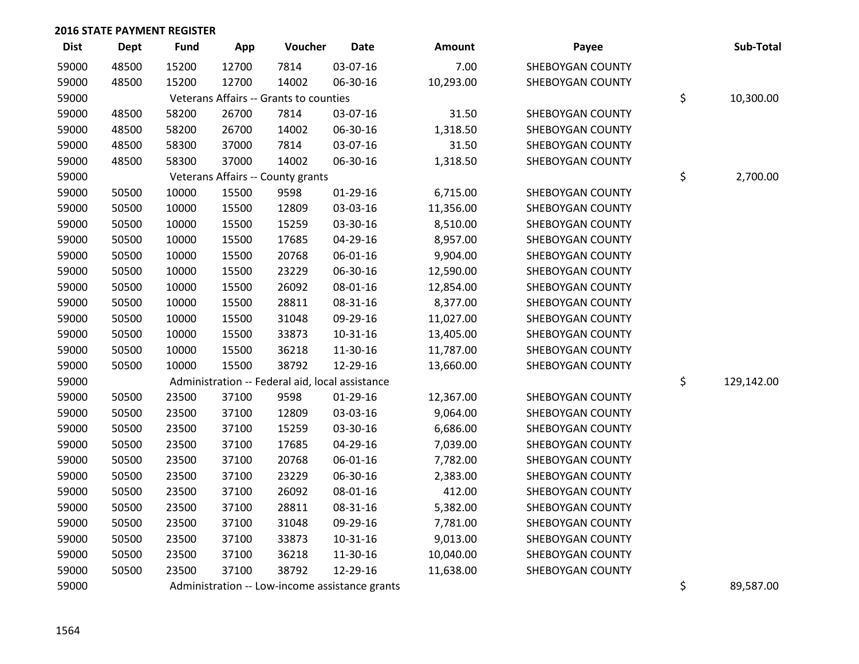| Dist  | Dept  | <b>Fund</b> | App   | Voucher                                         | Date       | Amount    | Payee                   | Sub-Total        |
|-------|-------|-------------|-------|-------------------------------------------------|------------|-----------|-------------------------|------------------|
| 59000 | 48500 | 15200       | 12700 | 7814                                            | 03-07-16   | 7.00      | SHEBOYGAN COUNTY        |                  |
| 59000 | 48500 | 15200       | 12700 | 14002                                           | 06-30-16   | 10,293.00 | SHEBOYGAN COUNTY        |                  |
| 59000 |       |             |       | Veterans Affairs -- Grants to counties          |            |           |                         | \$<br>10,300.00  |
| 59000 | 48500 | 58200       | 26700 | 7814                                            | 03-07-16   | 31.50     | SHEBOYGAN COUNTY        |                  |
| 59000 | 48500 | 58200       | 26700 | 14002                                           | 06-30-16   | 1,318.50  | SHEBOYGAN COUNTY        |                  |
| 59000 | 48500 | 58300       | 37000 | 7814                                            | 03-07-16   | 31.50     | SHEBOYGAN COUNTY        |                  |
| 59000 | 48500 | 58300       | 37000 | 14002                                           | 06-30-16   | 1,318.50  | SHEBOYGAN COUNTY        |                  |
| 59000 |       |             |       | Veterans Affairs -- County grants               |            |           |                         | \$<br>2,700.00   |
| 59000 | 50500 | 10000       | 15500 | 9598                                            | 01-29-16   | 6,715.00  | SHEBOYGAN COUNTY        |                  |
| 59000 | 50500 | 10000       | 15500 | 12809                                           | 03-03-16   | 11,356.00 | SHEBOYGAN COUNTY        |                  |
| 59000 | 50500 | 10000       | 15500 | 15259                                           | 03-30-16   | 8,510.00  | SHEBOYGAN COUNTY        |                  |
| 59000 | 50500 | 10000       | 15500 | 17685                                           | 04-29-16   | 8,957.00  | SHEBOYGAN COUNTY        |                  |
| 59000 | 50500 | 10000       | 15500 | 20768                                           | 06-01-16   | 9,904.00  | SHEBOYGAN COUNTY        |                  |
| 59000 | 50500 | 10000       | 15500 | 23229                                           | 06-30-16   | 12,590.00 | SHEBOYGAN COUNTY        |                  |
| 59000 | 50500 | 10000       | 15500 | 26092                                           | 08-01-16   | 12,854.00 | SHEBOYGAN COUNTY        |                  |
| 59000 | 50500 | 10000       | 15500 | 28811                                           | 08-31-16   | 8,377.00  | SHEBOYGAN COUNTY        |                  |
| 59000 | 50500 | 10000       | 15500 | 31048                                           | 09-29-16   | 11,027.00 | SHEBOYGAN COUNTY        |                  |
| 59000 | 50500 | 10000       | 15500 | 33873                                           | 10-31-16   | 13,405.00 | SHEBOYGAN COUNTY        |                  |
| 59000 | 50500 | 10000       | 15500 | 36218                                           | 11-30-16   | 11,787.00 | SHEBOYGAN COUNTY        |                  |
| 59000 | 50500 | 10000       | 15500 | 38792                                           | 12-29-16   | 13,660.00 | SHEBOYGAN COUNTY        |                  |
| 59000 |       |             |       | Administration -- Federal aid, local assistance |            |           |                         | \$<br>129,142.00 |
| 59000 | 50500 | 23500       | 37100 | 9598                                            | $01-29-16$ | 12,367.00 | SHEBOYGAN COUNTY        |                  |
| 59000 | 50500 | 23500       | 37100 | 12809                                           | 03-03-16   | 9,064.00  | <b>SHEBOYGAN COUNTY</b> |                  |
| 59000 | 50500 | 23500       | 37100 | 15259                                           | 03-30-16   | 6,686.00  | SHEBOYGAN COUNTY        |                  |
| 59000 | 50500 | 23500       | 37100 | 17685                                           | 04-29-16   | 7,039.00  | SHEBOYGAN COUNTY        |                  |
| 59000 | 50500 | 23500       | 37100 | 20768                                           | 06-01-16   | 7,782.00  | SHEBOYGAN COUNTY        |                  |
| 59000 | 50500 | 23500       | 37100 | 23229                                           | 06-30-16   | 2,383.00  | SHEBOYGAN COUNTY        |                  |
| 59000 | 50500 | 23500       | 37100 | 26092                                           | 08-01-16   | 412.00    | SHEBOYGAN COUNTY        |                  |
| 59000 | 50500 | 23500       | 37100 | 28811                                           | 08-31-16   | 5,382.00  | SHEBOYGAN COUNTY        |                  |
| 59000 | 50500 | 23500       | 37100 | 31048                                           | 09-29-16   | 7,781.00  | SHEBOYGAN COUNTY        |                  |
| 59000 | 50500 | 23500       | 37100 | 33873                                           | 10-31-16   | 9,013.00  | SHEBOYGAN COUNTY        |                  |
| 59000 | 50500 | 23500       | 37100 | 36218                                           | 11-30-16   | 10,040.00 | SHEBOYGAN COUNTY        |                  |
| 59000 | 50500 | 23500       | 37100 | 38792                                           | 12-29-16   | 11,638.00 | SHEBOYGAN COUNTY        |                  |
| 59000 |       |             |       | Administration -- Low-income assistance grants  |            |           |                         | \$<br>89,587.00  |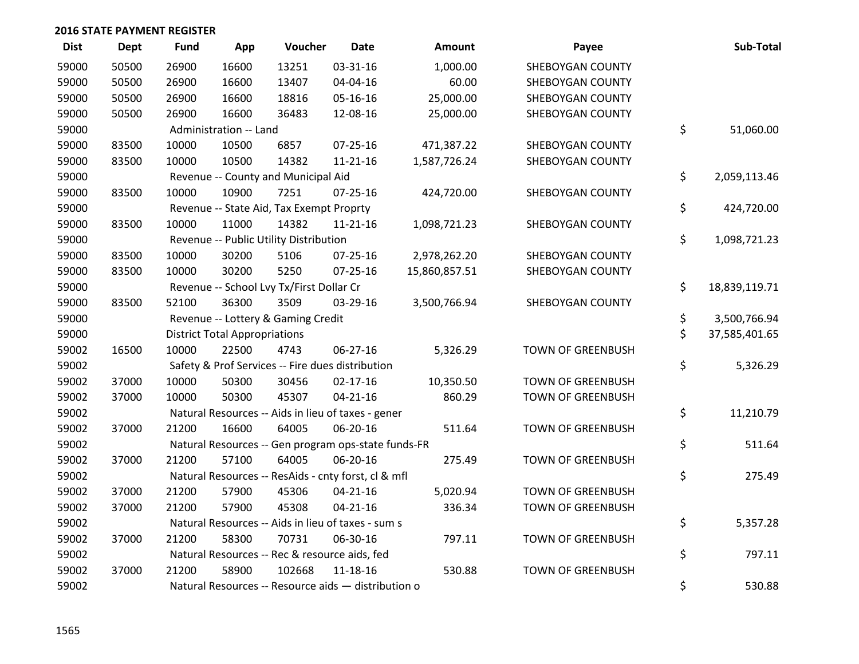| <b>Dist</b> | <b>Dept</b> | <b>Fund</b> | App                                  | Voucher                                             | <b>Date</b>    | <b>Amount</b> | Payee                    | Sub-Total           |
|-------------|-------------|-------------|--------------------------------------|-----------------------------------------------------|----------------|---------------|--------------------------|---------------------|
| 59000       | 50500       | 26900       | 16600                                | 13251                                               | 03-31-16       | 1,000.00      | SHEBOYGAN COUNTY         |                     |
| 59000       | 50500       | 26900       | 16600                                | 13407                                               | 04-04-16       | 60.00         | SHEBOYGAN COUNTY         |                     |
| 59000       | 50500       | 26900       | 16600                                | 18816                                               | 05-16-16       | 25,000.00     | SHEBOYGAN COUNTY         |                     |
| 59000       | 50500       | 26900       | 16600                                | 36483                                               | 12-08-16       | 25,000.00     | SHEBOYGAN COUNTY         |                     |
| 59000       |             |             | Administration -- Land               |                                                     |                |               |                          | \$<br>51,060.00     |
| 59000       | 83500       | 10000       | 10500                                | 6857                                                | $07 - 25 - 16$ | 471,387.22    | SHEBOYGAN COUNTY         |                     |
| 59000       | 83500       | 10000       | 10500                                | 14382                                               | $11 - 21 - 16$ | 1,587,726.24  | SHEBOYGAN COUNTY         |                     |
| 59000       |             |             |                                      | Revenue -- County and Municipal Aid                 |                |               |                          | \$<br>2,059,113.46  |
| 59000       | 83500       | 10000       | 10900                                | 7251                                                | 07-25-16       | 424,720.00    | SHEBOYGAN COUNTY         |                     |
| 59000       |             |             |                                      | Revenue -- State Aid, Tax Exempt Proprty            |                |               |                          | \$<br>424,720.00    |
| 59000       | 83500       | 10000       | 11000                                | 14382                                               | $11 - 21 - 16$ | 1,098,721.23  | SHEBOYGAN COUNTY         |                     |
| 59000       |             |             |                                      | Revenue -- Public Utility Distribution              |                |               |                          | \$<br>1,098,721.23  |
| 59000       | 83500       | 10000       | 30200                                | 5106                                                | $07 - 25 - 16$ | 2,978,262.20  | SHEBOYGAN COUNTY         |                     |
| 59000       | 83500       | 10000       | 30200                                | 5250                                                | $07 - 25 - 16$ | 15,860,857.51 | SHEBOYGAN COUNTY         |                     |
| 59000       |             |             |                                      | Revenue -- School Lvy Tx/First Dollar Cr            |                |               |                          | \$<br>18,839,119.71 |
| 59000       | 83500       | 52100       | 36300                                | 3509                                                | 03-29-16       | 3,500,766.94  | SHEBOYGAN COUNTY         |                     |
| 59000       |             |             |                                      | Revenue -- Lottery & Gaming Credit                  |                |               |                          | \$<br>3,500,766.94  |
| 59000       |             |             | <b>District Total Appropriations</b> |                                                     |                |               |                          | \$<br>37,585,401.65 |
| 59002       | 16500       | 10000       | 22500                                | 4743                                                | 06-27-16       | 5,326.29      | <b>TOWN OF GREENBUSH</b> |                     |
| 59002       |             |             |                                      | Safety & Prof Services -- Fire dues distribution    |                |               |                          | \$<br>5,326.29      |
| 59002       | 37000       | 10000       | 50300                                | 30456                                               | $02 - 17 - 16$ | 10,350.50     | <b>TOWN OF GREENBUSH</b> |                     |
| 59002       | 37000       | 10000       | 50300                                | 45307                                               | $04 - 21 - 16$ | 860.29        | <b>TOWN OF GREENBUSH</b> |                     |
| 59002       |             |             |                                      | Natural Resources -- Aids in lieu of taxes - gener  |                |               |                          | \$<br>11,210.79     |
| 59002       | 37000       | 21200       | 16600                                | 64005                                               | 06-20-16       | 511.64        | <b>TOWN OF GREENBUSH</b> |                     |
| 59002       |             |             |                                      | Natural Resources -- Gen program ops-state funds-FR |                |               |                          | \$<br>511.64        |
| 59002       | 37000       | 21200       | 57100                                | 64005                                               | 06-20-16       | 275.49        | <b>TOWN OF GREENBUSH</b> |                     |
| 59002       |             |             |                                      | Natural Resources -- ResAids - cnty forst, cl & mfl |                |               |                          | \$<br>275.49        |
| 59002       | 37000       | 21200       | 57900                                | 45306                                               | $04 - 21 - 16$ | 5,020.94      | <b>TOWN OF GREENBUSH</b> |                     |
| 59002       | 37000       | 21200       | 57900                                | 45308                                               | $04 - 21 - 16$ | 336.34        | <b>TOWN OF GREENBUSH</b> |                     |
| 59002       |             |             |                                      | Natural Resources -- Aids in lieu of taxes - sum s  |                |               |                          | \$<br>5,357.28      |
| 59002       | 37000       | 21200       | 58300                                | 70731                                               | 06-30-16       | 797.11        | <b>TOWN OF GREENBUSH</b> |                     |
| 59002       |             |             |                                      | Natural Resources -- Rec & resource aids, fed       |                |               |                          | \$<br>797.11        |
| 59002       | 37000       | 21200       | 58900                                | 102668                                              | $11 - 18 - 16$ | 530.88        | <b>TOWN OF GREENBUSH</b> |                     |
| 59002       |             |             |                                      | Natural Resources -- Resource aids - distribution o |                |               |                          | \$<br>530.88        |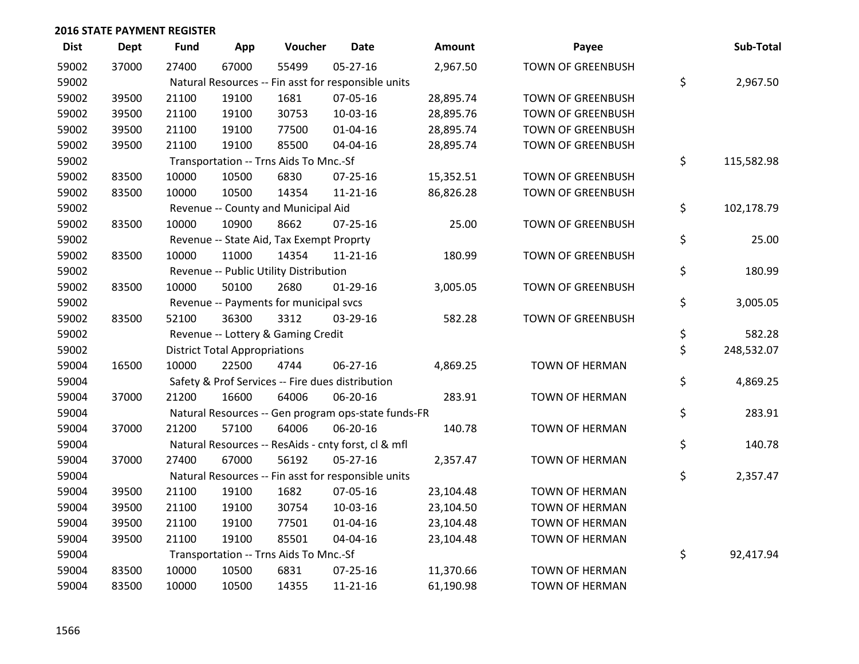| <b>Dist</b> | <b>Dept</b> | <b>Fund</b> | App                                  | Voucher                                             | <b>Date</b>    | <b>Amount</b> | Payee                    | Sub-Total        |
|-------------|-------------|-------------|--------------------------------------|-----------------------------------------------------|----------------|---------------|--------------------------|------------------|
| 59002       | 37000       | 27400       | 67000                                | 55499                                               | $05 - 27 - 16$ | 2,967.50      | <b>TOWN OF GREENBUSH</b> |                  |
| 59002       |             |             |                                      | Natural Resources -- Fin asst for responsible units |                |               |                          | \$<br>2,967.50   |
| 59002       | 39500       | 21100       | 19100                                | 1681                                                | 07-05-16       | 28,895.74     | <b>TOWN OF GREENBUSH</b> |                  |
| 59002       | 39500       | 21100       | 19100                                | 30753                                               | 10-03-16       | 28,895.76     | <b>TOWN OF GREENBUSH</b> |                  |
| 59002       | 39500       | 21100       | 19100                                | 77500                                               | $01 - 04 - 16$ | 28,895.74     | <b>TOWN OF GREENBUSH</b> |                  |
| 59002       | 39500       | 21100       | 19100                                | 85500                                               | 04-04-16       | 28,895.74     | <b>TOWN OF GREENBUSH</b> |                  |
| 59002       |             |             |                                      | Transportation -- Trns Aids To Mnc.-Sf              |                |               |                          | \$<br>115,582.98 |
| 59002       | 83500       | 10000       | 10500                                | 6830                                                | $07 - 25 - 16$ | 15,352.51     | <b>TOWN OF GREENBUSH</b> |                  |
| 59002       | 83500       | 10000       | 10500                                | 14354                                               | $11 - 21 - 16$ | 86,826.28     | <b>TOWN OF GREENBUSH</b> |                  |
| 59002       |             |             |                                      | Revenue -- County and Municipal Aid                 |                |               |                          | \$<br>102,178.79 |
| 59002       | 83500       | 10000       | 10900                                | 8662                                                | $07 - 25 - 16$ | 25.00         | <b>TOWN OF GREENBUSH</b> |                  |
| 59002       |             |             |                                      | Revenue -- State Aid, Tax Exempt Proprty            |                |               |                          | \$<br>25.00      |
| 59002       | 83500       | 10000       | 11000                                | 14354                                               | $11 - 21 - 16$ | 180.99        | <b>TOWN OF GREENBUSH</b> |                  |
| 59002       |             |             |                                      | Revenue -- Public Utility Distribution              |                |               |                          | \$<br>180.99     |
| 59002       | 83500       | 10000       | 50100                                | 2680                                                | $01-29-16$     | 3,005.05      | <b>TOWN OF GREENBUSH</b> |                  |
| 59002       |             |             |                                      | Revenue -- Payments for municipal svcs              |                |               |                          | \$<br>3,005.05   |
| 59002       | 83500       | 52100       | 36300                                | 3312                                                | 03-29-16       | 582.28        | <b>TOWN OF GREENBUSH</b> |                  |
| 59002       |             |             |                                      | Revenue -- Lottery & Gaming Credit                  |                |               |                          | \$<br>582.28     |
| 59002       |             |             | <b>District Total Appropriations</b> |                                                     |                |               |                          | \$<br>248,532.07 |
| 59004       | 16500       | 10000       | 22500                                | 4744                                                | 06-27-16       | 4,869.25      | <b>TOWN OF HERMAN</b>    |                  |
| 59004       |             |             |                                      | Safety & Prof Services -- Fire dues distribution    |                |               |                          | \$<br>4,869.25   |
| 59004       | 37000       | 21200       | 16600                                | 64006                                               | 06-20-16       | 283.91        | TOWN OF HERMAN           |                  |
| 59004       |             |             |                                      | Natural Resources -- Gen program ops-state funds-FR |                |               |                          | \$<br>283.91     |
| 59004       | 37000       | 21200       | 57100                                | 64006                                               | 06-20-16       | 140.78        | <b>TOWN OF HERMAN</b>    |                  |
| 59004       |             |             |                                      | Natural Resources -- ResAids - cnty forst, cl & mfl |                |               |                          | \$<br>140.78     |
| 59004       | 37000       | 27400       | 67000                                | 56192                                               | $05 - 27 - 16$ | 2,357.47      | TOWN OF HERMAN           |                  |
| 59004       |             |             |                                      | Natural Resources -- Fin asst for responsible units |                |               |                          | \$<br>2,357.47   |
| 59004       | 39500       | 21100       | 19100                                | 1682                                                | 07-05-16       | 23,104.48     | <b>TOWN OF HERMAN</b>    |                  |
| 59004       | 39500       | 21100       | 19100                                | 30754                                               | 10-03-16       | 23,104.50     | TOWN OF HERMAN           |                  |
| 59004       | 39500       | 21100       | 19100                                | 77501                                               | $01 - 04 - 16$ | 23,104.48     | <b>TOWN OF HERMAN</b>    |                  |
| 59004       | 39500       | 21100       | 19100                                | 85501                                               | 04-04-16       | 23,104.48     | TOWN OF HERMAN           |                  |
| 59004       |             |             |                                      | Transportation -- Trns Aids To Mnc.-Sf              |                |               |                          | \$<br>92,417.94  |
| 59004       | 83500       | 10000       | 10500                                | 6831                                                | $07 - 25 - 16$ | 11,370.66     | <b>TOWN OF HERMAN</b>    |                  |
| 59004       | 83500       | 10000       | 10500                                | 14355                                               | 11-21-16       | 61,190.98     | <b>TOWN OF HERMAN</b>    |                  |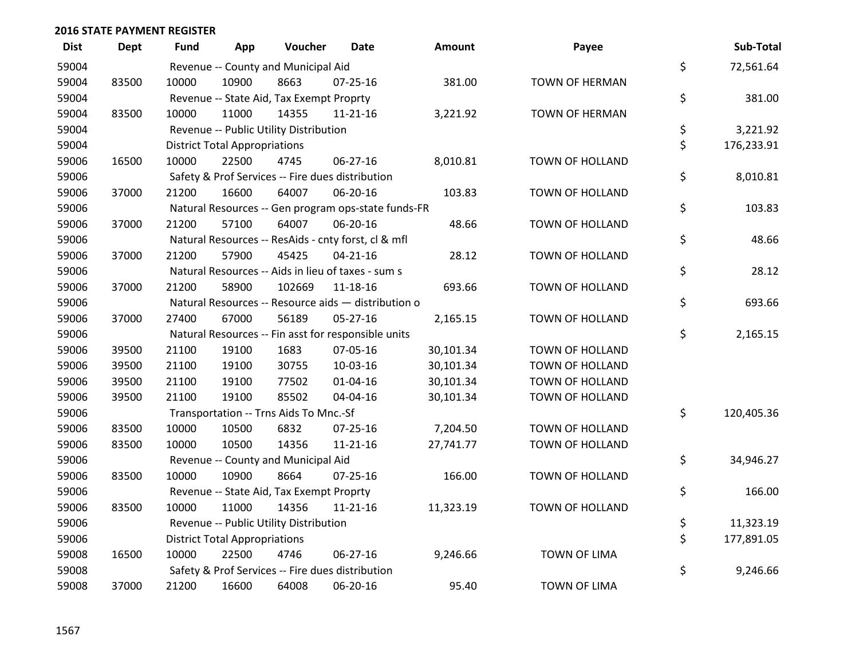| <b>Dist</b> | Dept  | Fund  | App                                  | Voucher                                          | Date                                                | <b>Amount</b> | Payee                 | Sub-Total        |
|-------------|-------|-------|--------------------------------------|--------------------------------------------------|-----------------------------------------------------|---------------|-----------------------|------------------|
| 59004       |       |       |                                      | Revenue -- County and Municipal Aid              |                                                     |               |                       | \$<br>72,561.64  |
| 59004       | 83500 | 10000 | 10900                                | 8663                                             | 07-25-16                                            | 381.00        | TOWN OF HERMAN        |                  |
| 59004       |       |       |                                      | Revenue -- State Aid, Tax Exempt Proprty         |                                                     |               |                       | \$<br>381.00     |
| 59004       | 83500 | 10000 | 11000                                | 14355                                            | 11-21-16                                            | 3,221.92      | <b>TOWN OF HERMAN</b> |                  |
| 59004       |       |       |                                      | Revenue -- Public Utility Distribution           |                                                     |               |                       | \$<br>3,221.92   |
| 59004       |       |       | <b>District Total Appropriations</b> |                                                  |                                                     |               |                       | \$<br>176,233.91 |
| 59006       | 16500 | 10000 | 22500                                | 4745                                             | 06-27-16                                            | 8,010.81      | TOWN OF HOLLAND       |                  |
| 59006       |       |       |                                      | Safety & Prof Services -- Fire dues distribution |                                                     |               |                       | \$<br>8,010.81   |
| 59006       | 37000 | 21200 | 16600                                | 64007                                            | 06-20-16                                            | 103.83        | TOWN OF HOLLAND       |                  |
| 59006       |       |       |                                      |                                                  | Natural Resources -- Gen program ops-state funds-FR |               |                       | \$<br>103.83     |
| 59006       | 37000 | 21200 | 57100                                | 64007                                            | 06-20-16                                            | 48.66         | TOWN OF HOLLAND       |                  |
| 59006       |       |       |                                      |                                                  | Natural Resources -- ResAids - cnty forst, cl & mfl |               |                       | \$<br>48.66      |
| 59006       | 37000 | 21200 | 57900                                | 45425                                            | $04 - 21 - 16$                                      | 28.12         | TOWN OF HOLLAND       |                  |
| 59006       |       |       |                                      |                                                  | Natural Resources -- Aids in lieu of taxes - sum s  |               |                       | \$<br>28.12      |
| 59006       | 37000 | 21200 | 58900                                | 102669                                           | 11-18-16                                            | 693.66        | TOWN OF HOLLAND       |                  |
| 59006       |       |       |                                      |                                                  | Natural Resources -- Resource aids - distribution o |               |                       | \$<br>693.66     |
| 59006       | 37000 | 27400 | 67000                                | 56189                                            | 05-27-16                                            | 2,165.15      | TOWN OF HOLLAND       |                  |
| 59006       |       |       |                                      |                                                  | Natural Resources -- Fin asst for responsible units |               |                       | \$<br>2,165.15   |
| 59006       | 39500 | 21100 | 19100                                | 1683                                             | 07-05-16                                            | 30,101.34     | TOWN OF HOLLAND       |                  |
| 59006       | 39500 | 21100 | 19100                                | 30755                                            | 10-03-16                                            | 30,101.34     | TOWN OF HOLLAND       |                  |
| 59006       | 39500 | 21100 | 19100                                | 77502                                            | $01 - 04 - 16$                                      | 30,101.34     | TOWN OF HOLLAND       |                  |
| 59006       | 39500 | 21100 | 19100                                | 85502                                            | 04-04-16                                            | 30,101.34     | TOWN OF HOLLAND       |                  |
| 59006       |       |       |                                      | Transportation -- Trns Aids To Mnc.-Sf           |                                                     |               |                       | \$<br>120,405.36 |
| 59006       | 83500 | 10000 | 10500                                | 6832                                             | 07-25-16                                            | 7,204.50      | TOWN OF HOLLAND       |                  |
| 59006       | 83500 | 10000 | 10500                                | 14356                                            | $11 - 21 - 16$                                      | 27,741.77     | TOWN OF HOLLAND       |                  |
| 59006       |       |       |                                      | Revenue -- County and Municipal Aid              |                                                     |               |                       | \$<br>34,946.27  |
| 59006       | 83500 | 10000 | 10900                                | 8664                                             | 07-25-16                                            | 166.00        | TOWN OF HOLLAND       |                  |
| 59006       |       |       |                                      | Revenue -- State Aid, Tax Exempt Proprty         |                                                     |               |                       | \$<br>166.00     |
| 59006       | 83500 | 10000 | 11000                                | 14356                                            | $11 - 21 - 16$                                      | 11,323.19     | TOWN OF HOLLAND       |                  |
| 59006       |       |       |                                      | Revenue -- Public Utility Distribution           |                                                     |               |                       | \$<br>11,323.19  |
| 59006       |       |       | <b>District Total Appropriations</b> |                                                  |                                                     |               |                       | \$<br>177,891.05 |
| 59008       | 16500 | 10000 | 22500                                | 4746                                             | 06-27-16                                            | 9,246.66      | <b>TOWN OF LIMA</b>   |                  |
| 59008       |       |       |                                      |                                                  | Safety & Prof Services -- Fire dues distribution    |               |                       | \$<br>9,246.66   |
| 59008       | 37000 | 21200 | 16600                                | 64008                                            | 06-20-16                                            | 95.40         | <b>TOWN OF LIMA</b>   |                  |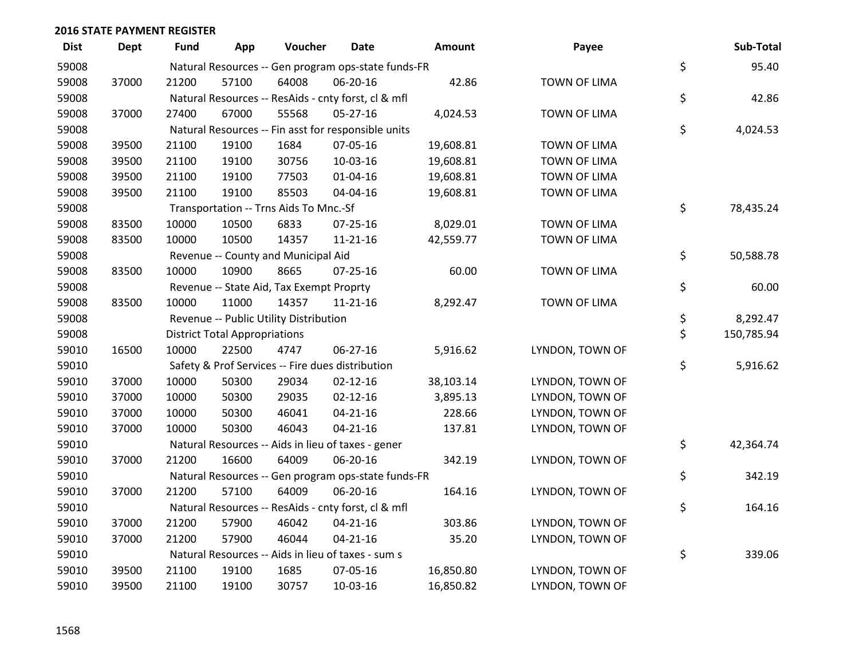| <b>Dist</b> | <b>Dept</b> | Fund  | App                                  | Voucher                                          | Date                                                | Amount    | Payee               | Sub-Total        |
|-------------|-------------|-------|--------------------------------------|--------------------------------------------------|-----------------------------------------------------|-----------|---------------------|------------------|
| 59008       |             |       |                                      |                                                  | Natural Resources -- Gen program ops-state funds-FR |           |                     | \$<br>95.40      |
| 59008       | 37000       | 21200 | 57100                                | 64008                                            | 06-20-16                                            | 42.86     | <b>TOWN OF LIMA</b> |                  |
| 59008       |             |       |                                      |                                                  | Natural Resources -- ResAids - cnty forst, cl & mfl |           |                     | \$<br>42.86      |
| 59008       | 37000       | 27400 | 67000                                | 55568                                            | $05-27-16$                                          | 4,024.53  | <b>TOWN OF LIMA</b> |                  |
| 59008       |             |       |                                      |                                                  | Natural Resources -- Fin asst for responsible units |           |                     | \$<br>4,024.53   |
| 59008       | 39500       | 21100 | 19100                                | 1684                                             | 07-05-16                                            | 19,608.81 | <b>TOWN OF LIMA</b> |                  |
| 59008       | 39500       | 21100 | 19100                                | 30756                                            | 10-03-16                                            | 19,608.81 | <b>TOWN OF LIMA</b> |                  |
| 59008       | 39500       | 21100 | 19100                                | 77503                                            | 01-04-16                                            | 19,608.81 | <b>TOWN OF LIMA</b> |                  |
| 59008       | 39500       | 21100 | 19100                                | 85503                                            | 04-04-16                                            | 19,608.81 | <b>TOWN OF LIMA</b> |                  |
| 59008       |             |       |                                      | Transportation -- Trns Aids To Mnc.-Sf           |                                                     |           |                     | \$<br>78,435.24  |
| 59008       | 83500       | 10000 | 10500                                | 6833                                             | 07-25-16                                            | 8,029.01  | <b>TOWN OF LIMA</b> |                  |
| 59008       | 83500       | 10000 | 10500                                | 14357                                            | $11 - 21 - 16$                                      | 42,559.77 | <b>TOWN OF LIMA</b> |                  |
| 59008       |             |       |                                      | Revenue -- County and Municipal Aid              |                                                     |           |                     | \$<br>50,588.78  |
| 59008       | 83500       | 10000 | 10900                                | 8665                                             | 07-25-16                                            | 60.00     | <b>TOWN OF LIMA</b> |                  |
| 59008       |             |       |                                      | Revenue -- State Aid, Tax Exempt Proprty         |                                                     |           |                     | \$<br>60.00      |
| 59008       | 83500       | 10000 | 11000                                | 14357                                            | 11-21-16                                            | 8,292.47  | <b>TOWN OF LIMA</b> |                  |
| 59008       |             |       |                                      | Revenue -- Public Utility Distribution           |                                                     |           |                     | \$<br>8,292.47   |
| 59008       |             |       | <b>District Total Appropriations</b> |                                                  |                                                     |           |                     | \$<br>150,785.94 |
| 59010       | 16500       | 10000 | 22500                                | 4747                                             | 06-27-16                                            | 5,916.62  | LYNDON, TOWN OF     |                  |
| 59010       |             |       |                                      | Safety & Prof Services -- Fire dues distribution |                                                     |           |                     | \$<br>5,916.62   |
| 59010       | 37000       | 10000 | 50300                                | 29034                                            | $02 - 12 - 16$                                      | 38,103.14 | LYNDON, TOWN OF     |                  |
| 59010       | 37000       | 10000 | 50300                                | 29035                                            | $02 - 12 - 16$                                      | 3,895.13  | LYNDON, TOWN OF     |                  |
| 59010       | 37000       | 10000 | 50300                                | 46041                                            | $04 - 21 - 16$                                      | 228.66    | LYNDON, TOWN OF     |                  |
| 59010       | 37000       | 10000 | 50300                                | 46043                                            | $04 - 21 - 16$                                      | 137.81    | LYNDON, TOWN OF     |                  |
| 59010       |             |       |                                      |                                                  | Natural Resources -- Aids in lieu of taxes - gener  |           |                     | \$<br>42,364.74  |
| 59010       | 37000       | 21200 | 16600                                | 64009                                            | 06-20-16                                            | 342.19    | LYNDON, TOWN OF     |                  |
| 59010       |             |       |                                      |                                                  | Natural Resources -- Gen program ops-state funds-FR |           |                     | \$<br>342.19     |
| 59010       | 37000       | 21200 | 57100                                | 64009                                            | 06-20-16                                            | 164.16    | LYNDON, TOWN OF     |                  |
| 59010       |             |       |                                      |                                                  | Natural Resources -- ResAids - cnty forst, cl & mfl |           |                     | \$<br>164.16     |
| 59010       | 37000       | 21200 | 57900                                | 46042                                            | $04 - 21 - 16$                                      | 303.86    | LYNDON, TOWN OF     |                  |
| 59010       | 37000       | 21200 | 57900                                | 46044                                            | $04 - 21 - 16$                                      | 35.20     | LYNDON, TOWN OF     |                  |
| 59010       |             |       |                                      |                                                  | Natural Resources -- Aids in lieu of taxes - sum s  |           |                     | \$<br>339.06     |
| 59010       | 39500       | 21100 | 19100                                | 1685                                             | 07-05-16                                            | 16,850.80 | LYNDON, TOWN OF     |                  |
| 59010       | 39500       | 21100 | 19100                                | 30757                                            | 10-03-16                                            | 16,850.82 | LYNDON, TOWN OF     |                  |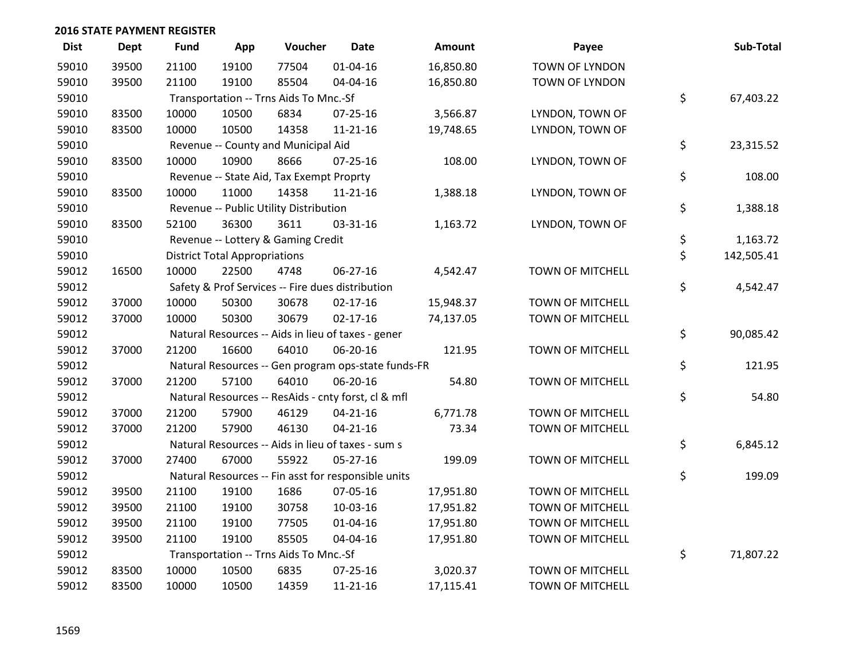| <b>Dist</b> | <b>Dept</b> | <b>Fund</b> | App                                  | Voucher                                  | <b>Date</b>                                         | Amount    | Payee                   | Sub-Total        |
|-------------|-------------|-------------|--------------------------------------|------------------------------------------|-----------------------------------------------------|-----------|-------------------------|------------------|
| 59010       | 39500       | 21100       | 19100                                | 77504                                    | $01 - 04 - 16$                                      | 16,850.80 | TOWN OF LYNDON          |                  |
| 59010       | 39500       | 21100       | 19100                                | 85504                                    | 04-04-16                                            | 16,850.80 | <b>TOWN OF LYNDON</b>   |                  |
| 59010       |             |             |                                      | Transportation -- Trns Aids To Mnc.-Sf   |                                                     |           |                         | \$<br>67,403.22  |
| 59010       | 83500       | 10000       | 10500                                | 6834                                     | 07-25-16                                            | 3,566.87  | LYNDON, TOWN OF         |                  |
| 59010       | 83500       | 10000       | 10500                                | 14358                                    | $11 - 21 - 16$                                      | 19,748.65 | LYNDON, TOWN OF         |                  |
| 59010       |             |             |                                      | Revenue -- County and Municipal Aid      |                                                     |           |                         | \$<br>23,315.52  |
| 59010       | 83500       | 10000       | 10900                                | 8666                                     | $07 - 25 - 16$                                      | 108.00    | LYNDON, TOWN OF         |                  |
| 59010       |             |             |                                      | Revenue -- State Aid, Tax Exempt Proprty |                                                     |           |                         | \$<br>108.00     |
| 59010       | 83500       | 10000       | 11000                                | 14358                                    | $11 - 21 - 16$                                      | 1,388.18  | LYNDON, TOWN OF         |                  |
| 59010       |             |             |                                      | Revenue -- Public Utility Distribution   |                                                     |           |                         | \$<br>1,388.18   |
| 59010       | 83500       | 52100       | 36300                                | 3611                                     | 03-31-16                                            | 1,163.72  | LYNDON, TOWN OF         |                  |
| 59010       |             |             |                                      | Revenue -- Lottery & Gaming Credit       |                                                     |           |                         | \$<br>1,163.72   |
| 59010       |             |             | <b>District Total Appropriations</b> |                                          |                                                     |           |                         | \$<br>142,505.41 |
| 59012       | 16500       | 10000       | 22500                                | 4748                                     | 06-27-16                                            | 4,542.47  | <b>TOWN OF MITCHELL</b> |                  |
| 59012       |             |             |                                      |                                          | Safety & Prof Services -- Fire dues distribution    |           |                         | \$<br>4,542.47   |
| 59012       | 37000       | 10000       | 50300                                | 30678                                    | $02 - 17 - 16$                                      | 15,948.37 | <b>TOWN OF MITCHELL</b> |                  |
| 59012       | 37000       | 10000       | 50300                                | 30679                                    | $02 - 17 - 16$                                      | 74,137.05 | <b>TOWN OF MITCHELL</b> |                  |
| 59012       |             |             |                                      |                                          | Natural Resources -- Aids in lieu of taxes - gener  |           |                         | \$<br>90,085.42  |
| 59012       | 37000       | 21200       | 16600                                | 64010                                    | 06-20-16                                            | 121.95    | <b>TOWN OF MITCHELL</b> |                  |
| 59012       |             |             |                                      |                                          | Natural Resources -- Gen program ops-state funds-FR |           |                         | \$<br>121.95     |
| 59012       | 37000       | 21200       | 57100                                | 64010                                    | 06-20-16                                            | 54.80     | TOWN OF MITCHELL        |                  |
| 59012       |             |             |                                      |                                          | Natural Resources -- ResAids - cnty forst, cl & mfl |           |                         | \$<br>54.80      |
| 59012       | 37000       | 21200       | 57900                                | 46129                                    | $04 - 21 - 16$                                      | 6,771.78  | <b>TOWN OF MITCHELL</b> |                  |
| 59012       | 37000       | 21200       | 57900                                | 46130                                    | $04 - 21 - 16$                                      | 73.34     | <b>TOWN OF MITCHELL</b> |                  |
| 59012       |             |             |                                      |                                          | Natural Resources -- Aids in lieu of taxes - sum s  |           |                         | \$<br>6,845.12   |
| 59012       | 37000       | 27400       | 67000                                | 55922                                    | 05-27-16                                            | 199.09    | <b>TOWN OF MITCHELL</b> |                  |
| 59012       |             |             |                                      |                                          | Natural Resources -- Fin asst for responsible units |           |                         | \$<br>199.09     |
| 59012       | 39500       | 21100       | 19100                                | 1686                                     | 07-05-16                                            | 17,951.80 | <b>TOWN OF MITCHELL</b> |                  |
| 59012       | 39500       | 21100       | 19100                                | 30758                                    | 10-03-16                                            | 17,951.82 | <b>TOWN OF MITCHELL</b> |                  |
| 59012       | 39500       | 21100       | 19100                                | 77505                                    | $01 - 04 - 16$                                      | 17,951.80 | <b>TOWN OF MITCHELL</b> |                  |
| 59012       | 39500       | 21100       | 19100                                | 85505                                    | 04-04-16                                            | 17,951.80 | <b>TOWN OF MITCHELL</b> |                  |
| 59012       |             |             |                                      | Transportation -- Trns Aids To Mnc.-Sf   |                                                     |           |                         | \$<br>71,807.22  |
| 59012       | 83500       | 10000       | 10500                                | 6835                                     | 07-25-16                                            | 3,020.37  | <b>TOWN OF MITCHELL</b> |                  |
| 59012       | 83500       | 10000       | 10500                                | 14359                                    | 11-21-16                                            | 17,115.41 | <b>TOWN OF MITCHELL</b> |                  |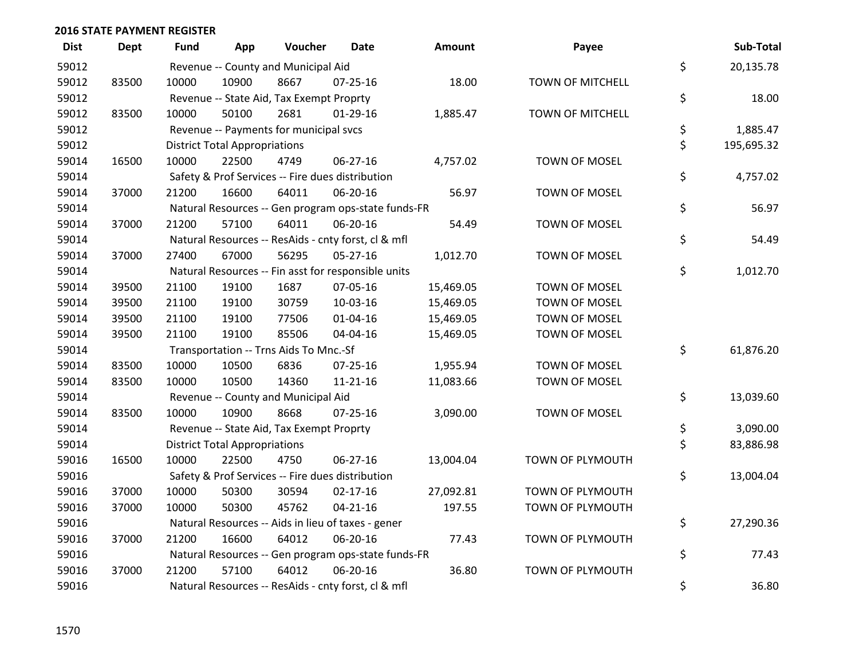| <b>Dist</b> | <b>Dept</b> | <b>Fund</b> | App                                  | Voucher                                  | Date                                                | <b>Amount</b> | Payee            | Sub-Total        |
|-------------|-------------|-------------|--------------------------------------|------------------------------------------|-----------------------------------------------------|---------------|------------------|------------------|
| 59012       |             |             |                                      | Revenue -- County and Municipal Aid      |                                                     |               |                  | \$<br>20,135.78  |
| 59012       | 83500       | 10000       | 10900                                | 8667                                     | $07 - 25 - 16$                                      | 18.00         | TOWN OF MITCHELL |                  |
| 59012       |             |             |                                      | Revenue -- State Aid, Tax Exempt Proprty |                                                     |               |                  | \$<br>18.00      |
| 59012       | 83500       | 10000       | 50100                                | 2681                                     | 01-29-16                                            | 1,885.47      | TOWN OF MITCHELL |                  |
| 59012       |             |             |                                      | Revenue -- Payments for municipal svcs   |                                                     |               |                  | \$<br>1,885.47   |
| 59012       |             |             | <b>District Total Appropriations</b> |                                          |                                                     |               |                  | \$<br>195,695.32 |
| 59014       | 16500       | 10000       | 22500                                | 4749                                     | 06-27-16                                            | 4,757.02      | TOWN OF MOSEL    |                  |
| 59014       |             |             |                                      |                                          | Safety & Prof Services -- Fire dues distribution    |               |                  | \$<br>4,757.02   |
| 59014       | 37000       | 21200       | 16600                                | 64011                                    | 06-20-16                                            | 56.97         | TOWN OF MOSEL    |                  |
| 59014       |             |             |                                      |                                          | Natural Resources -- Gen program ops-state funds-FR |               |                  | \$<br>56.97      |
| 59014       | 37000       | 21200       | 57100                                | 64011                                    | 06-20-16                                            | 54.49         | TOWN OF MOSEL    |                  |
| 59014       |             |             |                                      |                                          | Natural Resources -- ResAids - cnty forst, cl & mfl |               |                  | \$<br>54.49      |
| 59014       | 37000       | 27400       | 67000                                | 56295                                    | $05 - 27 - 16$                                      | 1,012.70      | TOWN OF MOSEL    |                  |
| 59014       |             |             |                                      |                                          | Natural Resources -- Fin asst for responsible units |               |                  | \$<br>1,012.70   |
| 59014       | 39500       | 21100       | 19100                                | 1687                                     | 07-05-16                                            | 15,469.05     | TOWN OF MOSEL    |                  |
| 59014       | 39500       | 21100       | 19100                                | 30759                                    | 10-03-16                                            | 15,469.05     | TOWN OF MOSEL    |                  |
| 59014       | 39500       | 21100       | 19100                                | 77506                                    | $01 - 04 - 16$                                      | 15,469.05     | TOWN OF MOSEL    |                  |
| 59014       | 39500       | 21100       | 19100                                | 85506                                    | 04-04-16                                            | 15,469.05     | TOWN OF MOSEL    |                  |
| 59014       |             |             |                                      | Transportation -- Trns Aids To Mnc.-Sf   |                                                     |               |                  | \$<br>61,876.20  |
| 59014       | 83500       | 10000       | 10500                                | 6836                                     | $07 - 25 - 16$                                      | 1,955.94      | TOWN OF MOSEL    |                  |
| 59014       | 83500       | 10000       | 10500                                | 14360                                    | $11 - 21 - 16$                                      | 11,083.66     | TOWN OF MOSEL    |                  |
| 59014       |             |             |                                      | Revenue -- County and Municipal Aid      |                                                     |               |                  | \$<br>13,039.60  |
| 59014       | 83500       | 10000       | 10900                                | 8668                                     | $07 - 25 - 16$                                      | 3,090.00      | TOWN OF MOSEL    |                  |
| 59014       |             |             |                                      | Revenue -- State Aid, Tax Exempt Proprty |                                                     |               |                  | \$<br>3,090.00   |
| 59014       |             |             | <b>District Total Appropriations</b> |                                          |                                                     |               |                  | \$<br>83,886.98  |
| 59016       | 16500       | 10000       | 22500                                | 4750                                     | 06-27-16                                            | 13,004.04     | TOWN OF PLYMOUTH |                  |
| 59016       |             |             |                                      |                                          | Safety & Prof Services -- Fire dues distribution    |               |                  | \$<br>13,004.04  |
| 59016       | 37000       | 10000       | 50300                                | 30594                                    | $02 - 17 - 16$                                      | 27,092.81     | TOWN OF PLYMOUTH |                  |
| 59016       | 37000       | 10000       | 50300                                | 45762                                    | $04 - 21 - 16$                                      | 197.55        | TOWN OF PLYMOUTH |                  |
| 59016       |             |             |                                      |                                          | Natural Resources -- Aids in lieu of taxes - gener  |               |                  | \$<br>27,290.36  |
| 59016       | 37000       | 21200       | 16600                                | 64012                                    | 06-20-16                                            | 77.43         | TOWN OF PLYMOUTH |                  |
| 59016       |             |             |                                      |                                          | Natural Resources -- Gen program ops-state funds-FR |               |                  | \$<br>77.43      |
| 59016       | 37000       | 21200       | 57100                                | 64012                                    | 06-20-16                                            | 36.80         | TOWN OF PLYMOUTH |                  |
| 59016       |             |             |                                      |                                          | Natural Resources -- ResAids - cnty forst, cl & mfl |               |                  | \$<br>36.80      |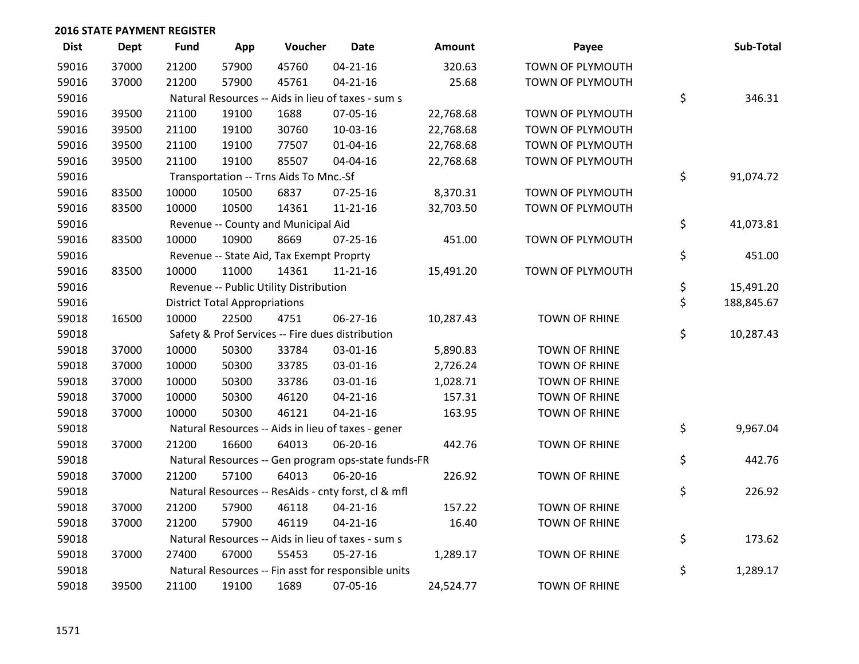| <b>Dist</b> | Dept  | <b>Fund</b> | App                                  | Voucher                                  | <b>Date</b>                                         | <b>Amount</b> | Payee                | Sub-Total        |
|-------------|-------|-------------|--------------------------------------|------------------------------------------|-----------------------------------------------------|---------------|----------------------|------------------|
| 59016       | 37000 | 21200       | 57900                                | 45760                                    | $04 - 21 - 16$                                      | 320.63        | TOWN OF PLYMOUTH     |                  |
| 59016       | 37000 | 21200       | 57900                                | 45761                                    | $04 - 21 - 16$                                      | 25.68         | TOWN OF PLYMOUTH     |                  |
| 59016       |       |             |                                      |                                          | Natural Resources -- Aids in lieu of taxes - sum s  |               |                      | \$<br>346.31     |
| 59016       | 39500 | 21100       | 19100                                | 1688                                     | 07-05-16                                            | 22,768.68     | TOWN OF PLYMOUTH     |                  |
| 59016       | 39500 | 21100       | 19100                                | 30760                                    | 10-03-16                                            | 22,768.68     | TOWN OF PLYMOUTH     |                  |
| 59016       | 39500 | 21100       | 19100                                | 77507                                    | $01 - 04 - 16$                                      | 22,768.68     | TOWN OF PLYMOUTH     |                  |
| 59016       | 39500 | 21100       | 19100                                | 85507                                    | 04-04-16                                            | 22,768.68     | TOWN OF PLYMOUTH     |                  |
| 59016       |       |             |                                      | Transportation -- Trns Aids To Mnc.-Sf   |                                                     |               |                      | \$<br>91,074.72  |
| 59016       | 83500 | 10000       | 10500                                | 6837                                     | 07-25-16                                            | 8,370.31      | TOWN OF PLYMOUTH     |                  |
| 59016       | 83500 | 10000       | 10500                                | 14361                                    | $11 - 21 - 16$                                      | 32,703.50     | TOWN OF PLYMOUTH     |                  |
| 59016       |       |             |                                      | Revenue -- County and Municipal Aid      |                                                     |               |                      | \$<br>41,073.81  |
| 59016       | 83500 | 10000       | 10900                                | 8669                                     | $07 - 25 - 16$                                      | 451.00        | TOWN OF PLYMOUTH     |                  |
| 59016       |       |             |                                      | Revenue -- State Aid, Tax Exempt Proprty |                                                     |               |                      | \$<br>451.00     |
| 59016       | 83500 | 10000       | 11000                                | 14361                                    | $11 - 21 - 16$                                      | 15,491.20     | TOWN OF PLYMOUTH     |                  |
| 59016       |       |             |                                      | Revenue -- Public Utility Distribution   |                                                     |               |                      | \$<br>15,491.20  |
| 59016       |       |             | <b>District Total Appropriations</b> |                                          |                                                     |               |                      | \$<br>188,845.67 |
| 59018       | 16500 | 10000       | 22500                                | 4751                                     | 06-27-16                                            | 10,287.43     | <b>TOWN OF RHINE</b> |                  |
| 59018       |       |             |                                      |                                          | Safety & Prof Services -- Fire dues distribution    |               |                      | \$<br>10,287.43  |
| 59018       | 37000 | 10000       | 50300                                | 33784                                    | 03-01-16                                            | 5,890.83      | <b>TOWN OF RHINE</b> |                  |
| 59018       | 37000 | 10000       | 50300                                | 33785                                    | 03-01-16                                            | 2,726.24      | <b>TOWN OF RHINE</b> |                  |
| 59018       | 37000 | 10000       | 50300                                | 33786                                    | 03-01-16                                            | 1,028.71      | <b>TOWN OF RHINE</b> |                  |
| 59018       | 37000 | 10000       | 50300                                | 46120                                    | $04 - 21 - 16$                                      | 157.31        | <b>TOWN OF RHINE</b> |                  |
| 59018       | 37000 | 10000       | 50300                                | 46121                                    | $04 - 21 - 16$                                      | 163.95        | <b>TOWN OF RHINE</b> |                  |
| 59018       |       |             |                                      |                                          | Natural Resources -- Aids in lieu of taxes - gener  |               |                      | \$<br>9,967.04   |
| 59018       | 37000 | 21200       | 16600                                | 64013                                    | 06-20-16                                            | 442.76        | <b>TOWN OF RHINE</b> |                  |
| 59018       |       |             |                                      |                                          | Natural Resources -- Gen program ops-state funds-FR |               |                      | \$<br>442.76     |
| 59018       | 37000 | 21200       | 57100                                | 64013                                    | 06-20-16                                            | 226.92        | <b>TOWN OF RHINE</b> |                  |
| 59018       |       |             |                                      |                                          | Natural Resources -- ResAids - cnty forst, cl & mfl |               |                      | \$<br>226.92     |
| 59018       | 37000 | 21200       | 57900                                | 46118                                    | $04 - 21 - 16$                                      | 157.22        | <b>TOWN OF RHINE</b> |                  |
| 59018       | 37000 | 21200       | 57900                                | 46119                                    | $04 - 21 - 16$                                      | 16.40         | <b>TOWN OF RHINE</b> |                  |
| 59018       |       |             |                                      |                                          | Natural Resources -- Aids in lieu of taxes - sum s  |               |                      | \$<br>173.62     |
| 59018       | 37000 | 27400       | 67000                                | 55453                                    | $05 - 27 - 16$                                      | 1,289.17      | <b>TOWN OF RHINE</b> |                  |
| 59018       |       |             |                                      |                                          | Natural Resources -- Fin asst for responsible units |               |                      | \$<br>1,289.17   |
| 59018       | 39500 | 21100       | 19100                                | 1689                                     | 07-05-16                                            | 24,524.77     | <b>TOWN OF RHINE</b> |                  |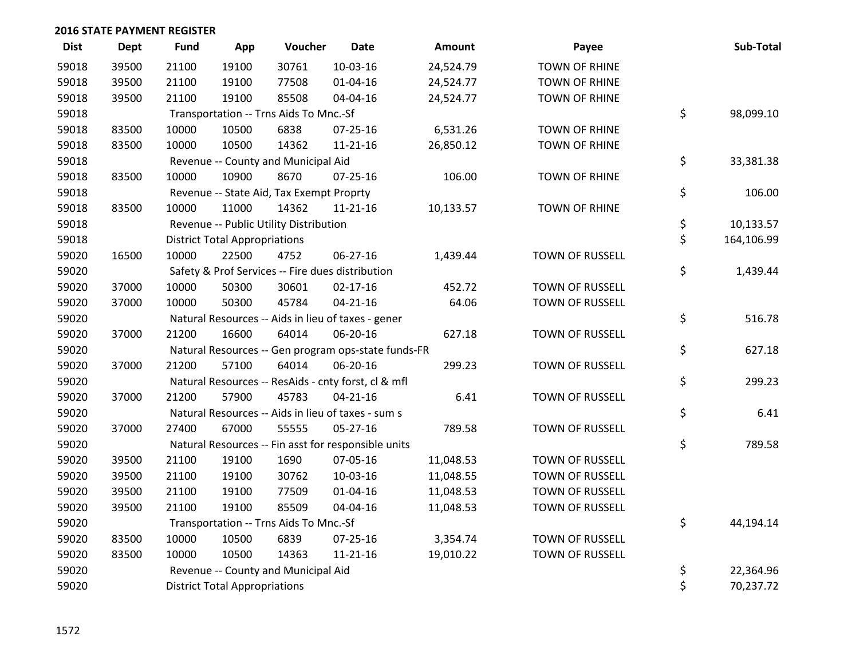| <b>Dist</b> | <b>Dept</b> | <b>Fund</b> | App                                  | Voucher                                  | <b>Date</b>                                         | <b>Amount</b> | Payee                  | Sub-Total        |
|-------------|-------------|-------------|--------------------------------------|------------------------------------------|-----------------------------------------------------|---------------|------------------------|------------------|
| 59018       | 39500       | 21100       | 19100                                | 30761                                    | 10-03-16                                            | 24,524.79     | <b>TOWN OF RHINE</b>   |                  |
| 59018       | 39500       | 21100       | 19100                                | 77508                                    | $01 - 04 - 16$                                      | 24,524.77     | <b>TOWN OF RHINE</b>   |                  |
| 59018       | 39500       | 21100       | 19100                                | 85508                                    | 04-04-16                                            | 24,524.77     | <b>TOWN OF RHINE</b>   |                  |
| 59018       |             |             |                                      | Transportation -- Trns Aids To Mnc.-Sf   |                                                     |               |                        | \$<br>98,099.10  |
| 59018       | 83500       | 10000       | 10500                                | 6838                                     | $07 - 25 - 16$                                      | 6,531.26      | <b>TOWN OF RHINE</b>   |                  |
| 59018       | 83500       | 10000       | 10500                                | 14362                                    | 11-21-16                                            | 26,850.12     | <b>TOWN OF RHINE</b>   |                  |
| 59018       |             |             |                                      | Revenue -- County and Municipal Aid      |                                                     |               |                        | \$<br>33,381.38  |
| 59018       | 83500       | 10000       | 10900                                | 8670                                     | $07 - 25 - 16$                                      | 106.00        | <b>TOWN OF RHINE</b>   |                  |
| 59018       |             |             |                                      | Revenue -- State Aid, Tax Exempt Proprty |                                                     |               |                        | \$<br>106.00     |
| 59018       | 83500       | 10000       | 11000                                | 14362                                    | $11 - 21 - 16$                                      | 10,133.57     | <b>TOWN OF RHINE</b>   |                  |
| 59018       |             |             |                                      | Revenue -- Public Utility Distribution   |                                                     |               |                        | \$<br>10,133.57  |
| 59018       |             |             | <b>District Total Appropriations</b> |                                          |                                                     |               |                        | \$<br>164,106.99 |
| 59020       | 16500       | 10000       | 22500                                | 4752                                     | 06-27-16                                            | 1,439.44      | TOWN OF RUSSELL        |                  |
| 59020       |             |             |                                      |                                          | Safety & Prof Services -- Fire dues distribution    |               |                        | \$<br>1,439.44   |
| 59020       | 37000       | 10000       | 50300                                | 30601                                    | $02 - 17 - 16$                                      | 452.72        | <b>TOWN OF RUSSELL</b> |                  |
| 59020       | 37000       | 10000       | 50300                                | 45784                                    | $04 - 21 - 16$                                      | 64.06         | TOWN OF RUSSELL        |                  |
| 59020       |             |             |                                      |                                          | Natural Resources -- Aids in lieu of taxes - gener  |               |                        | \$<br>516.78     |
| 59020       | 37000       | 21200       | 16600                                | 64014                                    | 06-20-16                                            | 627.18        | TOWN OF RUSSELL        |                  |
| 59020       |             |             |                                      |                                          | Natural Resources -- Gen program ops-state funds-FR |               |                        | \$<br>627.18     |
| 59020       | 37000       | 21200       | 57100                                | 64014                                    | 06-20-16                                            | 299.23        | TOWN OF RUSSELL        |                  |
| 59020       |             |             |                                      |                                          | Natural Resources -- ResAids - cnty forst, cl & mfl |               |                        | \$<br>299.23     |
| 59020       | 37000       | 21200       | 57900                                | 45783                                    | $04 - 21 - 16$                                      | 6.41          | TOWN OF RUSSELL        |                  |
| 59020       |             |             |                                      |                                          | Natural Resources -- Aids in lieu of taxes - sum s  |               |                        | \$<br>6.41       |
| 59020       | 37000       | 27400       | 67000                                | 55555                                    | 05-27-16                                            | 789.58        | TOWN OF RUSSELL        |                  |
| 59020       |             |             |                                      |                                          | Natural Resources -- Fin asst for responsible units |               |                        | \$<br>789.58     |
| 59020       | 39500       | 21100       | 19100                                | 1690                                     | 07-05-16                                            | 11,048.53     | TOWN OF RUSSELL        |                  |
| 59020       | 39500       | 21100       | 19100                                | 30762                                    | 10-03-16                                            | 11,048.55     | TOWN OF RUSSELL        |                  |
| 59020       | 39500       | 21100       | 19100                                | 77509                                    | $01 - 04 - 16$                                      | 11,048.53     | <b>TOWN OF RUSSELL</b> |                  |
| 59020       | 39500       | 21100       | 19100                                | 85509                                    | 04-04-16                                            | 11,048.53     | TOWN OF RUSSELL        |                  |
| 59020       |             |             |                                      | Transportation -- Trns Aids To Mnc.-Sf   |                                                     |               |                        | \$<br>44,194.14  |
| 59020       | 83500       | 10000       | 10500                                | 6839                                     | $07 - 25 - 16$                                      | 3,354.74      | <b>TOWN OF RUSSELL</b> |                  |
| 59020       | 83500       | 10000       | 10500                                | 14363                                    | $11 - 21 - 16$                                      | 19,010.22     | TOWN OF RUSSELL        |                  |
| 59020       |             |             |                                      | Revenue -- County and Municipal Aid      |                                                     |               |                        | \$<br>22,364.96  |
| 59020       |             |             | <b>District Total Appropriations</b> |                                          |                                                     |               |                        | \$<br>70,237.72  |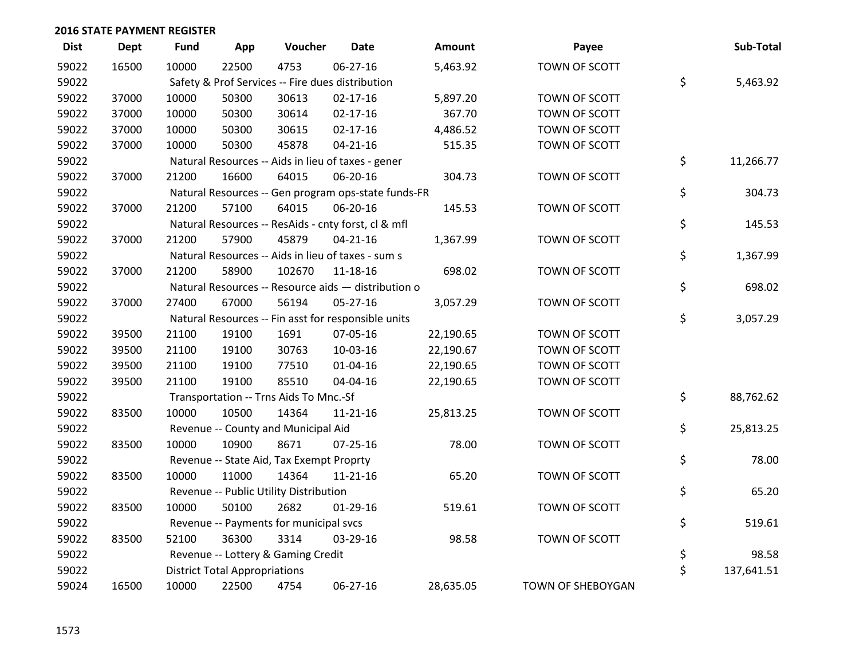| <b>Dist</b> | <b>Dept</b> | <b>Fund</b> | App                                  | Voucher                                  | <b>Date</b>                                         | <b>Amount</b> | Payee             | Sub-Total        |
|-------------|-------------|-------------|--------------------------------------|------------------------------------------|-----------------------------------------------------|---------------|-------------------|------------------|
| 59022       | 16500       | 10000       | 22500                                | 4753                                     | 06-27-16                                            | 5,463.92      | TOWN OF SCOTT     |                  |
| 59022       |             |             |                                      |                                          | Safety & Prof Services -- Fire dues distribution    |               |                   | \$<br>5,463.92   |
| 59022       | 37000       | 10000       | 50300                                | 30613                                    | $02 - 17 - 16$                                      | 5,897.20      | TOWN OF SCOTT     |                  |
| 59022       | 37000       | 10000       | 50300                                | 30614                                    | $02 - 17 - 16$                                      | 367.70        | TOWN OF SCOTT     |                  |
| 59022       | 37000       | 10000       | 50300                                | 30615                                    | $02 - 17 - 16$                                      | 4,486.52      | TOWN OF SCOTT     |                  |
| 59022       | 37000       | 10000       | 50300                                | 45878                                    | $04 - 21 - 16$                                      | 515.35        | TOWN OF SCOTT     |                  |
| 59022       |             |             |                                      |                                          | Natural Resources -- Aids in lieu of taxes - gener  |               |                   | \$<br>11,266.77  |
| 59022       | 37000       | 21200       | 16600                                | 64015                                    | 06-20-16                                            | 304.73        | TOWN OF SCOTT     |                  |
| 59022       |             |             |                                      |                                          | Natural Resources -- Gen program ops-state funds-FR |               |                   | \$<br>304.73     |
| 59022       | 37000       | 21200       | 57100                                | 64015                                    | 06-20-16                                            | 145.53        | TOWN OF SCOTT     |                  |
| 59022       |             |             |                                      |                                          | Natural Resources -- ResAids - cnty forst, cl & mfl |               |                   | \$<br>145.53     |
| 59022       | 37000       | 21200       | 57900                                | 45879                                    | $04 - 21 - 16$                                      | 1,367.99      | TOWN OF SCOTT     |                  |
| 59022       |             |             |                                      |                                          | Natural Resources -- Aids in lieu of taxes - sum s  |               |                   | \$<br>1,367.99   |
| 59022       | 37000       | 21200       | 58900                                | 102670                                   | 11-18-16                                            | 698.02        | TOWN OF SCOTT     |                  |
| 59022       |             |             |                                      |                                          | Natural Resources -- Resource aids - distribution o |               |                   | \$<br>698.02     |
| 59022       | 37000       | 27400       | 67000                                | 56194                                    | 05-27-16                                            | 3,057.29      | TOWN OF SCOTT     |                  |
| 59022       |             |             |                                      |                                          | Natural Resources -- Fin asst for responsible units |               |                   | \$<br>3,057.29   |
| 59022       | 39500       | 21100       | 19100                                | 1691                                     | 07-05-16                                            | 22,190.65     | TOWN OF SCOTT     |                  |
| 59022       | 39500       | 21100       | 19100                                | 30763                                    | 10-03-16                                            | 22,190.67     | TOWN OF SCOTT     |                  |
| 59022       | 39500       | 21100       | 19100                                | 77510                                    | $01 - 04 - 16$                                      | 22,190.65     | TOWN OF SCOTT     |                  |
| 59022       | 39500       | 21100       | 19100                                | 85510                                    | 04-04-16                                            | 22,190.65     | TOWN OF SCOTT     |                  |
| 59022       |             |             |                                      | Transportation -- Trns Aids To Mnc.-Sf   |                                                     |               |                   | \$<br>88,762.62  |
| 59022       | 83500       | 10000       | 10500                                | 14364                                    | 11-21-16                                            | 25,813.25     | TOWN OF SCOTT     |                  |
| 59022       |             |             |                                      | Revenue -- County and Municipal Aid      |                                                     |               |                   | \$<br>25,813.25  |
| 59022       | 83500       | 10000       | 10900                                | 8671                                     | $07 - 25 - 16$                                      | 78.00         | TOWN OF SCOTT     |                  |
| 59022       |             |             |                                      | Revenue -- State Aid, Tax Exempt Proprty |                                                     |               |                   | \$<br>78.00      |
| 59022       | 83500       | 10000       | 11000                                | 14364                                    | $11 - 21 - 16$                                      | 65.20         | TOWN OF SCOTT     |                  |
| 59022       |             |             |                                      | Revenue -- Public Utility Distribution   |                                                     |               |                   | \$<br>65.20      |
| 59022       | 83500       | 10000       | 50100                                | 2682                                     | $01-29-16$                                          | 519.61        | TOWN OF SCOTT     |                  |
| 59022       |             |             |                                      | Revenue -- Payments for municipal svcs   |                                                     |               |                   | \$<br>519.61     |
| 59022       | 83500       | 52100       | 36300                                | 3314                                     | 03-29-16                                            | 98.58         | TOWN OF SCOTT     |                  |
| 59022       |             |             |                                      | Revenue -- Lottery & Gaming Credit       |                                                     |               |                   | \$<br>98.58      |
| 59022       |             |             | <b>District Total Appropriations</b> |                                          |                                                     |               |                   | \$<br>137,641.51 |
| 59024       | 16500       | 10000       | 22500                                | 4754                                     | 06-27-16                                            | 28,635.05     | TOWN OF SHEBOYGAN |                  |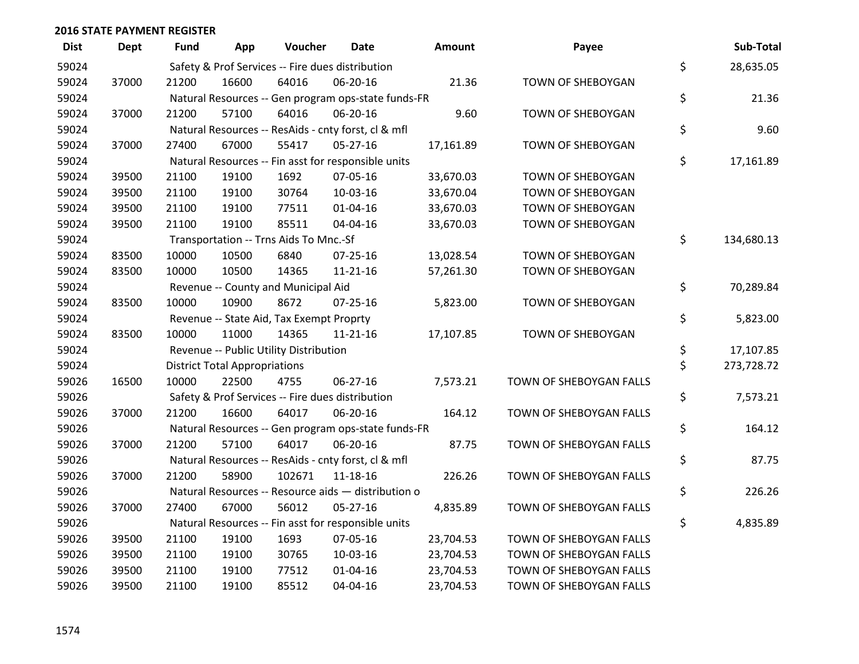| <b>Dist</b> | <b>Dept</b> | <b>Fund</b> | App                                  | Voucher                                             | Date           | Amount    | Payee                   | Sub-Total        |
|-------------|-------------|-------------|--------------------------------------|-----------------------------------------------------|----------------|-----------|-------------------------|------------------|
| 59024       |             |             |                                      | Safety & Prof Services -- Fire dues distribution    |                |           |                         | \$<br>28,635.05  |
| 59024       | 37000       | 21200       | 16600                                | 64016                                               | 06-20-16       | 21.36     | TOWN OF SHEBOYGAN       |                  |
| 59024       |             |             |                                      | Natural Resources -- Gen program ops-state funds-FR |                |           |                         | \$<br>21.36      |
| 59024       | 37000       | 21200       | 57100                                | 64016                                               | 06-20-16       | 9.60      | TOWN OF SHEBOYGAN       |                  |
| 59024       |             |             |                                      | Natural Resources -- ResAids - cnty forst, cl & mfl |                |           |                         | \$<br>9.60       |
| 59024       | 37000       | 27400       | 67000                                | 55417                                               | $05 - 27 - 16$ | 17,161.89 | TOWN OF SHEBOYGAN       |                  |
| 59024       |             |             |                                      | Natural Resources -- Fin asst for responsible units |                |           |                         | \$<br>17,161.89  |
| 59024       | 39500       | 21100       | 19100                                | 1692                                                | 07-05-16       | 33,670.03 | TOWN OF SHEBOYGAN       |                  |
| 59024       | 39500       | 21100       | 19100                                | 30764                                               | 10-03-16       | 33,670.04 | TOWN OF SHEBOYGAN       |                  |
| 59024       | 39500       | 21100       | 19100                                | 77511                                               | $01 - 04 - 16$ | 33,670.03 | TOWN OF SHEBOYGAN       |                  |
| 59024       | 39500       | 21100       | 19100                                | 85511                                               | 04-04-16       | 33,670.03 | TOWN OF SHEBOYGAN       |                  |
| 59024       |             |             |                                      | Transportation -- Trns Aids To Mnc.-Sf              |                |           |                         | \$<br>134,680.13 |
| 59024       | 83500       | 10000       | 10500                                | 6840                                                | $07 - 25 - 16$ | 13,028.54 | TOWN OF SHEBOYGAN       |                  |
| 59024       | 83500       | 10000       | 10500                                | 14365                                               | $11 - 21 - 16$ | 57,261.30 | TOWN OF SHEBOYGAN       |                  |
| 59024       |             |             |                                      | Revenue -- County and Municipal Aid                 |                |           |                         | \$<br>70,289.84  |
| 59024       | 83500       | 10000       | 10900                                | 8672                                                | $07 - 25 - 16$ | 5,823.00  | TOWN OF SHEBOYGAN       |                  |
| 59024       |             |             |                                      | Revenue -- State Aid, Tax Exempt Proprty            |                |           |                         | \$<br>5,823.00   |
| 59024       | 83500       | 10000       | 11000                                | 14365                                               | $11 - 21 - 16$ | 17,107.85 | TOWN OF SHEBOYGAN       |                  |
| 59024       |             |             |                                      | Revenue -- Public Utility Distribution              |                |           |                         | \$<br>17,107.85  |
| 59024       |             |             | <b>District Total Appropriations</b> |                                                     |                |           |                         | \$<br>273,728.72 |
| 59026       | 16500       | 10000       | 22500                                | 4755                                                | 06-27-16       | 7,573.21  | TOWN OF SHEBOYGAN FALLS |                  |
| 59026       |             |             |                                      | Safety & Prof Services -- Fire dues distribution    |                |           |                         | \$<br>7,573.21   |
| 59026       | 37000       | 21200       | 16600                                | 64017                                               | 06-20-16       | 164.12    | TOWN OF SHEBOYGAN FALLS |                  |
| 59026       |             |             |                                      | Natural Resources -- Gen program ops-state funds-FR |                |           |                         | \$<br>164.12     |
| 59026       | 37000       | 21200       | 57100                                | 64017                                               | 06-20-16       | 87.75     | TOWN OF SHEBOYGAN FALLS |                  |
| 59026       |             |             |                                      | Natural Resources -- ResAids - cnty forst, cl & mfl |                |           |                         | \$<br>87.75      |
| 59026       | 37000       | 21200       | 58900                                | 102671                                              | 11-18-16       | 226.26    | TOWN OF SHEBOYGAN FALLS |                  |
| 59026       |             |             |                                      | Natural Resources -- Resource aids - distribution o |                |           |                         | \$<br>226.26     |
| 59026       | 37000       | 27400       | 67000                                | 56012                                               | $05 - 27 - 16$ | 4,835.89  | TOWN OF SHEBOYGAN FALLS |                  |
| 59026       |             |             |                                      | Natural Resources -- Fin asst for responsible units |                |           |                         | \$<br>4,835.89   |
| 59026       | 39500       | 21100       | 19100                                | 1693                                                | 07-05-16       | 23,704.53 | TOWN OF SHEBOYGAN FALLS |                  |
| 59026       | 39500       | 21100       | 19100                                | 30765                                               | 10-03-16       | 23,704.53 | TOWN OF SHEBOYGAN FALLS |                  |
| 59026       | 39500       | 21100       | 19100                                | 77512                                               | $01 - 04 - 16$ | 23,704.53 | TOWN OF SHEBOYGAN FALLS |                  |
| 59026       | 39500       | 21100       | 19100                                | 85512                                               | 04-04-16       | 23,704.53 | TOWN OF SHEBOYGAN FALLS |                  |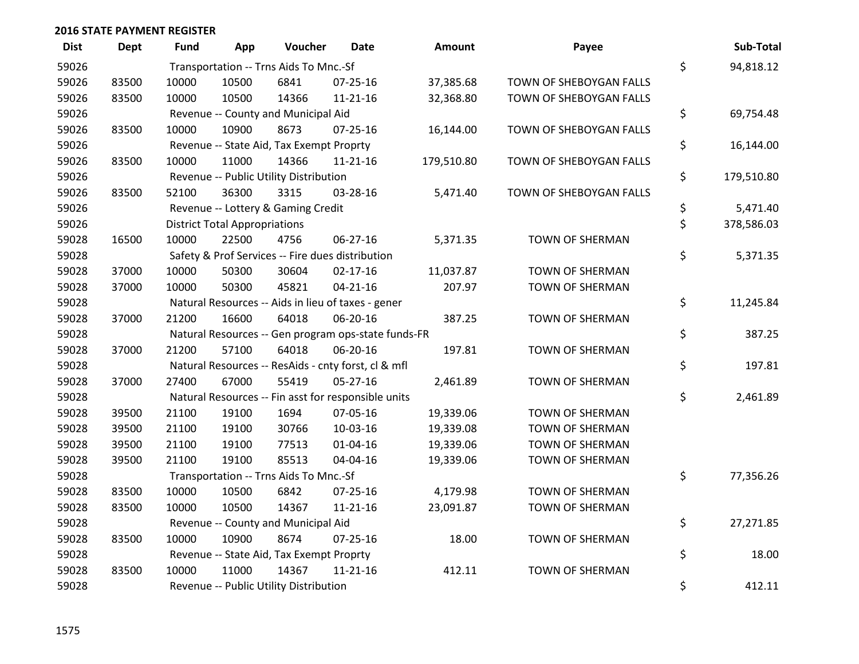| <b>Dist</b> | <b>Dept</b> | <b>Fund</b> | App                                  | Voucher                                  | <b>Date</b>                                         | Amount     | Payee                   | Sub-Total        |
|-------------|-------------|-------------|--------------------------------------|------------------------------------------|-----------------------------------------------------|------------|-------------------------|------------------|
| 59026       |             |             |                                      | Transportation -- Trns Aids To Mnc.-Sf   |                                                     |            |                         | \$<br>94,818.12  |
| 59026       | 83500       | 10000       | 10500                                | 6841                                     | 07-25-16                                            | 37,385.68  | TOWN OF SHEBOYGAN FALLS |                  |
| 59026       | 83500       | 10000       | 10500                                | 14366                                    | 11-21-16                                            | 32,368.80  | TOWN OF SHEBOYGAN FALLS |                  |
| 59026       |             |             |                                      | Revenue -- County and Municipal Aid      |                                                     |            |                         | \$<br>69,754.48  |
| 59026       | 83500       | 10000       | 10900                                | 8673                                     | $07 - 25 - 16$                                      | 16,144.00  | TOWN OF SHEBOYGAN FALLS |                  |
| 59026       |             |             |                                      | Revenue -- State Aid, Tax Exempt Proprty |                                                     |            |                         | \$<br>16,144.00  |
| 59026       | 83500       | 10000       | 11000                                | 14366                                    | $11 - 21 - 16$                                      | 179,510.80 | TOWN OF SHEBOYGAN FALLS |                  |
| 59026       |             |             |                                      | Revenue -- Public Utility Distribution   |                                                     |            |                         | \$<br>179,510.80 |
| 59026       | 83500       | 52100       | 36300                                | 3315                                     | 03-28-16                                            | 5,471.40   | TOWN OF SHEBOYGAN FALLS |                  |
| 59026       |             |             |                                      | Revenue -- Lottery & Gaming Credit       |                                                     |            |                         | \$<br>5,471.40   |
| 59026       |             |             | <b>District Total Appropriations</b> |                                          |                                                     |            |                         | \$<br>378,586.03 |
| 59028       | 16500       | 10000       | 22500                                | 4756                                     | 06-27-16                                            | 5,371.35   | <b>TOWN OF SHERMAN</b>  |                  |
| 59028       |             |             |                                      |                                          | Safety & Prof Services -- Fire dues distribution    |            |                         | \$<br>5,371.35   |
| 59028       | 37000       | 10000       | 50300                                | 30604                                    | $02 - 17 - 16$                                      | 11,037.87  | TOWN OF SHERMAN         |                  |
| 59028       | 37000       | 10000       | 50300                                | 45821                                    | $04 - 21 - 16$                                      | 207.97     | <b>TOWN OF SHERMAN</b>  |                  |
| 59028       |             |             |                                      |                                          | Natural Resources -- Aids in lieu of taxes - gener  |            |                         | \$<br>11,245.84  |
| 59028       | 37000       | 21200       | 16600                                | 64018                                    | 06-20-16                                            | 387.25     | TOWN OF SHERMAN         |                  |
| 59028       |             |             |                                      |                                          | Natural Resources -- Gen program ops-state funds-FR |            |                         | \$<br>387.25     |
| 59028       | 37000       | 21200       | 57100                                | 64018                                    | 06-20-16                                            | 197.81     | TOWN OF SHERMAN         |                  |
| 59028       |             |             |                                      |                                          | Natural Resources -- ResAids - cnty forst, cl & mfl |            |                         | \$<br>197.81     |
| 59028       | 37000       | 27400       | 67000                                | 55419                                    | $05 - 27 - 16$                                      | 2,461.89   | TOWN OF SHERMAN         |                  |
| 59028       |             |             |                                      |                                          | Natural Resources -- Fin asst for responsible units |            |                         | \$<br>2,461.89   |
| 59028       | 39500       | 21100       | 19100                                | 1694                                     | 07-05-16                                            | 19,339.06  | <b>TOWN OF SHERMAN</b>  |                  |
| 59028       | 39500       | 21100       | 19100                                | 30766                                    | 10-03-16                                            | 19,339.08  | TOWN OF SHERMAN         |                  |
| 59028       | 39500       | 21100       | 19100                                | 77513                                    | 01-04-16                                            | 19,339.06  | <b>TOWN OF SHERMAN</b>  |                  |
| 59028       | 39500       | 21100       | 19100                                | 85513                                    | 04-04-16                                            | 19,339.06  | TOWN OF SHERMAN         |                  |
| 59028       |             |             |                                      | Transportation -- Trns Aids To Mnc.-Sf   |                                                     |            |                         | \$<br>77,356.26  |
| 59028       | 83500       | 10000       | 10500                                | 6842                                     | $07 - 25 - 16$                                      | 4,179.98   | <b>TOWN OF SHERMAN</b>  |                  |
| 59028       | 83500       | 10000       | 10500                                | 14367                                    | $11 - 21 - 16$                                      | 23,091.87  | <b>TOWN OF SHERMAN</b>  |                  |
| 59028       |             |             |                                      | Revenue -- County and Municipal Aid      |                                                     |            |                         | \$<br>27,271.85  |
| 59028       | 83500       | 10000       | 10900                                | 8674                                     | 07-25-16                                            | 18.00      | TOWN OF SHERMAN         |                  |
| 59028       |             |             |                                      | Revenue -- State Aid, Tax Exempt Proprty |                                                     |            |                         | \$<br>18.00      |
| 59028       | 83500       | 10000       | 11000                                | 14367                                    | $11 - 21 - 16$                                      | 412.11     | <b>TOWN OF SHERMAN</b>  |                  |
| 59028       |             |             |                                      | Revenue -- Public Utility Distribution   |                                                     |            |                         | \$<br>412.11     |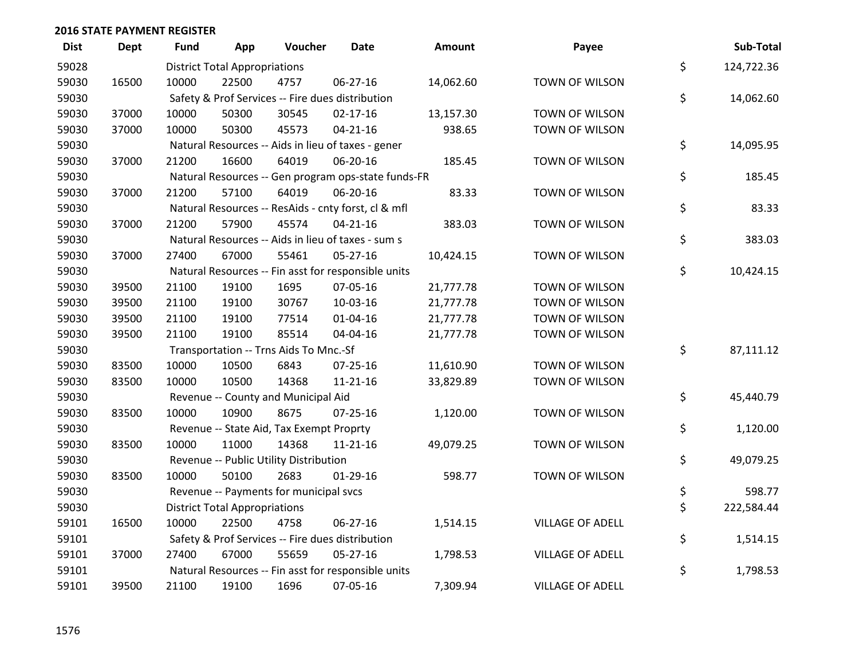| <b>Dist</b> | Dept  | Fund  | App                                  | Voucher                                             | Date           | Amount    | Payee                   | Sub-Total        |
|-------------|-------|-------|--------------------------------------|-----------------------------------------------------|----------------|-----------|-------------------------|------------------|
| 59028       |       |       | <b>District Total Appropriations</b> |                                                     |                |           |                         | \$<br>124,722.36 |
| 59030       | 16500 | 10000 | 22500                                | 4757                                                | 06-27-16       | 14,062.60 | TOWN OF WILSON          |                  |
| 59030       |       |       |                                      | Safety & Prof Services -- Fire dues distribution    |                |           |                         | \$<br>14,062.60  |
| 59030       | 37000 | 10000 | 50300                                | 30545                                               | $02 - 17 - 16$ | 13,157.30 | TOWN OF WILSON          |                  |
| 59030       | 37000 | 10000 | 50300                                | 45573                                               | $04 - 21 - 16$ | 938.65    | TOWN OF WILSON          |                  |
| 59030       |       |       |                                      | Natural Resources -- Aids in lieu of taxes - gener  |                |           |                         | \$<br>14,095.95  |
| 59030       | 37000 | 21200 | 16600                                | 64019                                               | 06-20-16       | 185.45    | TOWN OF WILSON          |                  |
| 59030       |       |       |                                      | Natural Resources -- Gen program ops-state funds-FR |                |           |                         | \$<br>185.45     |
| 59030       | 37000 | 21200 | 57100                                | 64019                                               | 06-20-16       | 83.33     | TOWN OF WILSON          |                  |
| 59030       |       |       |                                      | Natural Resources -- ResAids - cnty forst, cl & mfl |                |           |                         | \$<br>83.33      |
| 59030       | 37000 | 21200 | 57900                                | 45574                                               | $04 - 21 - 16$ | 383.03    | TOWN OF WILSON          |                  |
| 59030       |       |       |                                      | Natural Resources -- Aids in lieu of taxes - sum s  |                |           |                         | \$<br>383.03     |
| 59030       | 37000 | 27400 | 67000                                | 55461                                               | 05-27-16       | 10,424.15 | TOWN OF WILSON          |                  |
| 59030       |       |       |                                      | Natural Resources -- Fin asst for responsible units |                |           |                         | \$<br>10,424.15  |
| 59030       | 39500 | 21100 | 19100                                | 1695                                                | 07-05-16       | 21,777.78 | TOWN OF WILSON          |                  |
| 59030       | 39500 | 21100 | 19100                                | 30767                                               | 10-03-16       | 21,777.78 | TOWN OF WILSON          |                  |
| 59030       | 39500 | 21100 | 19100                                | 77514                                               | 01-04-16       | 21,777.78 | TOWN OF WILSON          |                  |
| 59030       | 39500 | 21100 | 19100                                | 85514                                               | 04-04-16       | 21,777.78 | TOWN OF WILSON          |                  |
| 59030       |       |       |                                      | Transportation -- Trns Aids To Mnc.-Sf              |                |           |                         | \$<br>87,111.12  |
| 59030       | 83500 | 10000 | 10500                                | 6843                                                | $07 - 25 - 16$ | 11,610.90 | TOWN OF WILSON          |                  |
| 59030       | 83500 | 10000 | 10500                                | 14368                                               | $11 - 21 - 16$ | 33,829.89 | TOWN OF WILSON          |                  |
| 59030       |       |       |                                      | Revenue -- County and Municipal Aid                 |                |           |                         | \$<br>45,440.79  |
| 59030       | 83500 | 10000 | 10900                                | 8675                                                | $07 - 25 - 16$ | 1,120.00  | TOWN OF WILSON          |                  |
| 59030       |       |       |                                      | Revenue -- State Aid, Tax Exempt Proprty            |                |           |                         | \$<br>1,120.00   |
| 59030       | 83500 | 10000 | 11000                                | 14368                                               | $11 - 21 - 16$ | 49,079.25 | TOWN OF WILSON          |                  |
| 59030       |       |       |                                      | Revenue -- Public Utility Distribution              |                |           |                         | \$<br>49,079.25  |
| 59030       | 83500 | 10000 | 50100                                | 2683                                                | $01-29-16$     | 598.77    | TOWN OF WILSON          |                  |
| 59030       |       |       |                                      | Revenue -- Payments for municipal svcs              |                |           |                         | \$<br>598.77     |
| 59030       |       |       | <b>District Total Appropriations</b> |                                                     |                |           |                         | \$<br>222,584.44 |
| 59101       | 16500 | 10000 | 22500                                | 4758                                                | 06-27-16       | 1,514.15  | <b>VILLAGE OF ADELL</b> |                  |
| 59101       |       |       |                                      | Safety & Prof Services -- Fire dues distribution    |                |           |                         | \$<br>1,514.15   |
| 59101       | 37000 | 27400 | 67000                                | 55659                                               | $05 - 27 - 16$ | 1,798.53  | <b>VILLAGE OF ADELL</b> |                  |
| 59101       |       |       |                                      | Natural Resources -- Fin asst for responsible units |                |           |                         | \$<br>1,798.53   |
| 59101       | 39500 | 21100 | 19100                                | 1696                                                | 07-05-16       | 7,309.94  | <b>VILLAGE OF ADELL</b> |                  |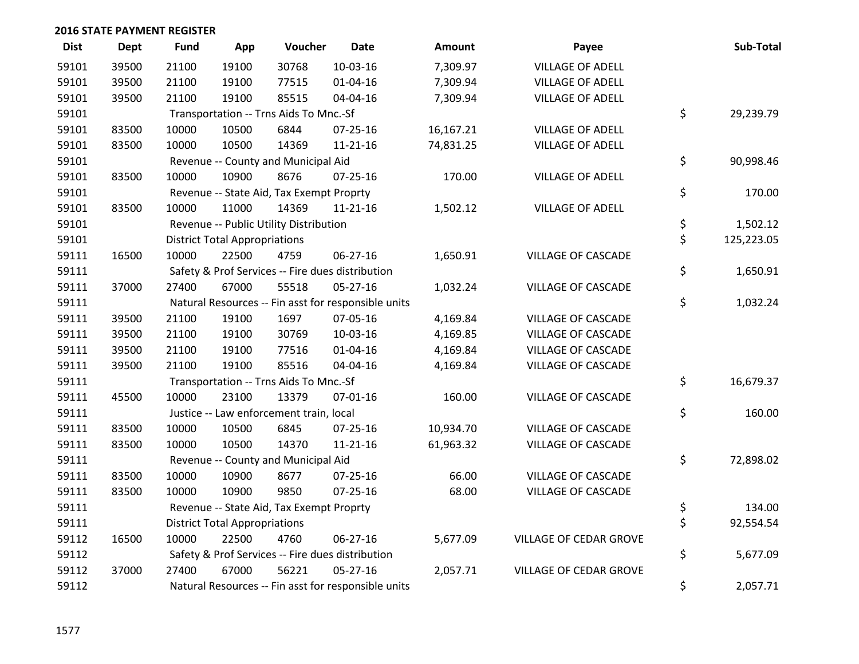| <b>Dist</b> | <b>Dept</b> | <b>Fund</b> | App                                  | Voucher                                  | <b>Date</b>                                         | <b>Amount</b> | Payee                         | Sub-Total        |
|-------------|-------------|-------------|--------------------------------------|------------------------------------------|-----------------------------------------------------|---------------|-------------------------------|------------------|
| 59101       | 39500       | 21100       | 19100                                | 30768                                    | 10-03-16                                            | 7,309.97      | <b>VILLAGE OF ADELL</b>       |                  |
| 59101       | 39500       | 21100       | 19100                                | 77515                                    | $01 - 04 - 16$                                      | 7,309.94      | <b>VILLAGE OF ADELL</b>       |                  |
| 59101       | 39500       | 21100       | 19100                                | 85515                                    | 04-04-16                                            | 7,309.94      | <b>VILLAGE OF ADELL</b>       |                  |
| 59101       |             |             |                                      | Transportation -- Trns Aids To Mnc.-Sf   |                                                     |               |                               | \$<br>29,239.79  |
| 59101       | 83500       | 10000       | 10500                                | 6844                                     | 07-25-16                                            | 16,167.21     | <b>VILLAGE OF ADELL</b>       |                  |
| 59101       | 83500       | 10000       | 10500                                | 14369                                    | $11 - 21 - 16$                                      | 74,831.25     | <b>VILLAGE OF ADELL</b>       |                  |
| 59101       |             |             |                                      | Revenue -- County and Municipal Aid      |                                                     |               |                               | \$<br>90,998.46  |
| 59101       | 83500       | 10000       | 10900                                | 8676                                     | $07 - 25 - 16$                                      | 170.00        | <b>VILLAGE OF ADELL</b>       |                  |
| 59101       |             |             |                                      | Revenue -- State Aid, Tax Exempt Proprty |                                                     |               |                               | \$<br>170.00     |
| 59101       | 83500       | 10000       | 11000                                | 14369                                    | $11 - 21 - 16$                                      | 1,502.12      | <b>VILLAGE OF ADELL</b>       |                  |
| 59101       |             |             |                                      | Revenue -- Public Utility Distribution   |                                                     |               |                               | \$<br>1,502.12   |
| 59101       |             |             | <b>District Total Appropriations</b> |                                          |                                                     |               |                               | \$<br>125,223.05 |
| 59111       | 16500       | 10000       | 22500                                | 4759                                     | $06 - 27 - 16$                                      | 1,650.91      | <b>VILLAGE OF CASCADE</b>     |                  |
| 59111       |             |             |                                      |                                          | Safety & Prof Services -- Fire dues distribution    |               |                               | \$<br>1,650.91   |
| 59111       | 37000       | 27400       | 67000                                | 55518                                    | $05 - 27 - 16$                                      | 1,032.24      | <b>VILLAGE OF CASCADE</b>     |                  |
| 59111       |             |             |                                      |                                          | Natural Resources -- Fin asst for responsible units |               |                               | \$<br>1,032.24   |
| 59111       | 39500       | 21100       | 19100                                | 1697                                     | 07-05-16                                            | 4,169.84      | <b>VILLAGE OF CASCADE</b>     |                  |
| 59111       | 39500       | 21100       | 19100                                | 30769                                    | 10-03-16                                            | 4,169.85      | <b>VILLAGE OF CASCADE</b>     |                  |
| 59111       | 39500       | 21100       | 19100                                | 77516                                    | $01 - 04 - 16$                                      | 4,169.84      | <b>VILLAGE OF CASCADE</b>     |                  |
| 59111       | 39500       | 21100       | 19100                                | 85516                                    | 04-04-16                                            | 4,169.84      | <b>VILLAGE OF CASCADE</b>     |                  |
| 59111       |             |             |                                      | Transportation -- Trns Aids To Mnc.-Sf   |                                                     |               |                               | \$<br>16,679.37  |
| 59111       | 45500       | 10000       | 23100                                | 13379                                    | 07-01-16                                            | 160.00        | VILLAGE OF CASCADE            |                  |
| 59111       |             |             |                                      | Justice -- Law enforcement train, local  |                                                     |               |                               | \$<br>160.00     |
| 59111       | 83500       | 10000       | 10500                                | 6845                                     | 07-25-16                                            | 10,934.70     | <b>VILLAGE OF CASCADE</b>     |                  |
| 59111       | 83500       | 10000       | 10500                                | 14370                                    | $11 - 21 - 16$                                      | 61,963.32     | VILLAGE OF CASCADE            |                  |
| 59111       |             |             |                                      | Revenue -- County and Municipal Aid      |                                                     |               |                               | \$<br>72,898.02  |
| 59111       | 83500       | 10000       | 10900                                | 8677                                     | 07-25-16                                            | 66.00         | <b>VILLAGE OF CASCADE</b>     |                  |
| 59111       | 83500       | 10000       | 10900                                | 9850                                     | $07 - 25 - 16$                                      | 68.00         | <b>VILLAGE OF CASCADE</b>     |                  |
| 59111       |             |             |                                      | Revenue -- State Aid, Tax Exempt Proprty |                                                     |               |                               | \$<br>134.00     |
| 59111       |             |             | <b>District Total Appropriations</b> |                                          |                                                     |               |                               | \$<br>92,554.54  |
| 59112       | 16500       | 10000       | 22500                                | 4760                                     | 06-27-16                                            | 5,677.09      | VILLAGE OF CEDAR GROVE        |                  |
| 59112       |             |             |                                      |                                          | Safety & Prof Services -- Fire dues distribution    |               |                               | \$<br>5,677.09   |
| 59112       | 37000       | 27400       | 67000                                | 56221                                    | 05-27-16                                            | 2,057.71      | <b>VILLAGE OF CEDAR GROVE</b> |                  |
| 59112       |             |             |                                      |                                          | Natural Resources -- Fin asst for responsible units |               |                               | \$<br>2,057.71   |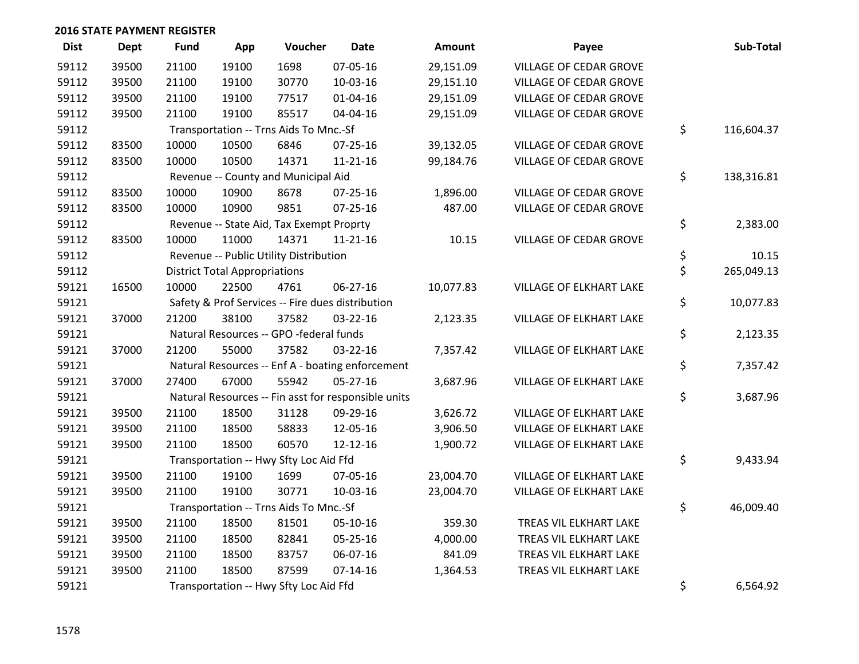| <b>Dist</b> | <b>Dept</b> | <b>Fund</b> | App                                  | Voucher                                  | <b>Date</b>                                         | Amount    | Payee                          | Sub-Total        |
|-------------|-------------|-------------|--------------------------------------|------------------------------------------|-----------------------------------------------------|-----------|--------------------------------|------------------|
| 59112       | 39500       | 21100       | 19100                                | 1698                                     | 07-05-16                                            | 29,151.09 | VILLAGE OF CEDAR GROVE         |                  |
| 59112       | 39500       | 21100       | 19100                                | 30770                                    | 10-03-16                                            | 29,151.10 | <b>VILLAGE OF CEDAR GROVE</b>  |                  |
| 59112       | 39500       | 21100       | 19100                                | 77517                                    | $01 - 04 - 16$                                      | 29,151.09 | <b>VILLAGE OF CEDAR GROVE</b>  |                  |
| 59112       | 39500       | 21100       | 19100                                | 85517                                    | 04-04-16                                            | 29,151.09 | VILLAGE OF CEDAR GROVE         |                  |
| 59112       |             |             |                                      | Transportation -- Trns Aids To Mnc.-Sf   |                                                     |           |                                | \$<br>116,604.37 |
| 59112       | 83500       | 10000       | 10500                                | 6846                                     | $07 - 25 - 16$                                      | 39,132.05 | VILLAGE OF CEDAR GROVE         |                  |
| 59112       | 83500       | 10000       | 10500                                | 14371                                    | $11 - 21 - 16$                                      | 99,184.76 | VILLAGE OF CEDAR GROVE         |                  |
| 59112       |             |             |                                      | Revenue -- County and Municipal Aid      |                                                     |           |                                | \$<br>138,316.81 |
| 59112       | 83500       | 10000       | 10900                                | 8678                                     | $07 - 25 - 16$                                      | 1,896.00  | VILLAGE OF CEDAR GROVE         |                  |
| 59112       | 83500       | 10000       | 10900                                | 9851                                     | 07-25-16                                            | 487.00    | VILLAGE OF CEDAR GROVE         |                  |
| 59112       |             |             |                                      | Revenue -- State Aid, Tax Exempt Proprty |                                                     |           |                                | \$<br>2,383.00   |
| 59112       | 83500       | 10000       | 11000                                | 14371                                    | $11 - 21 - 16$                                      | 10.15     | <b>VILLAGE OF CEDAR GROVE</b>  |                  |
| 59112       |             |             |                                      | Revenue -- Public Utility Distribution   |                                                     |           |                                | \$<br>10.15      |
| 59112       |             |             | <b>District Total Appropriations</b> |                                          |                                                     |           |                                | \$<br>265,049.13 |
| 59121       | 16500       | 10000       | 22500                                | 4761                                     | 06-27-16                                            | 10,077.83 | VILLAGE OF ELKHART LAKE        |                  |
| 59121       |             |             |                                      |                                          | Safety & Prof Services -- Fire dues distribution    |           |                                | \$<br>10,077.83  |
| 59121       | 37000       | 21200       | 38100                                | 37582                                    | 03-22-16                                            | 2,123.35  | VILLAGE OF ELKHART LAKE        |                  |
| 59121       |             |             |                                      | Natural Resources -- GPO -federal funds  |                                                     |           |                                | \$<br>2,123.35   |
| 59121       | 37000       | 21200       | 55000                                | 37582                                    | 03-22-16                                            | 7,357.42  | VILLAGE OF ELKHART LAKE        |                  |
| 59121       |             |             |                                      |                                          | Natural Resources -- Enf A - boating enforcement    |           |                                | \$<br>7,357.42   |
| 59121       | 37000       | 27400       | 67000                                | 55942                                    | 05-27-16                                            | 3,687.96  | VILLAGE OF ELKHART LAKE        |                  |
| 59121       |             |             |                                      |                                          | Natural Resources -- Fin asst for responsible units |           |                                | \$<br>3,687.96   |
| 59121       | 39500       | 21100       | 18500                                | 31128                                    | 09-29-16                                            | 3,626.72  | <b>VILLAGE OF ELKHART LAKE</b> |                  |
| 59121       | 39500       | 21100       | 18500                                | 58833                                    | 12-05-16                                            | 3,906.50  | VILLAGE OF ELKHART LAKE        |                  |
| 59121       | 39500       | 21100       | 18500                                | 60570                                    | 12-12-16                                            | 1,900.72  | VILLAGE OF ELKHART LAKE        |                  |
| 59121       |             |             |                                      | Transportation -- Hwy Sfty Loc Aid Ffd   |                                                     |           |                                | \$<br>9,433.94   |
| 59121       | 39500       | 21100       | 19100                                | 1699                                     | 07-05-16                                            | 23,004.70 | VILLAGE OF ELKHART LAKE        |                  |
| 59121       | 39500       | 21100       | 19100                                | 30771                                    | 10-03-16                                            | 23,004.70 | VILLAGE OF ELKHART LAKE        |                  |
| 59121       |             |             |                                      | Transportation -- Trns Aids To Mnc.-Sf   |                                                     |           |                                | \$<br>46,009.40  |
| 59121       | 39500       | 21100       | 18500                                | 81501                                    | 05-10-16                                            | 359.30    | TREAS VIL ELKHART LAKE         |                  |
| 59121       | 39500       | 21100       | 18500                                | 82841                                    | 05-25-16                                            | 4,000.00  | TREAS VIL ELKHART LAKE         |                  |
| 59121       | 39500       | 21100       | 18500                                | 83757                                    | 06-07-16                                            | 841.09    | TREAS VIL ELKHART LAKE         |                  |
| 59121       | 39500       | 21100       | 18500                                | 87599                                    | $07 - 14 - 16$                                      | 1,364.53  | TREAS VIL ELKHART LAKE         |                  |
| 59121       |             |             |                                      | Transportation -- Hwy Sfty Loc Aid Ffd   |                                                     |           |                                | \$<br>6,564.92   |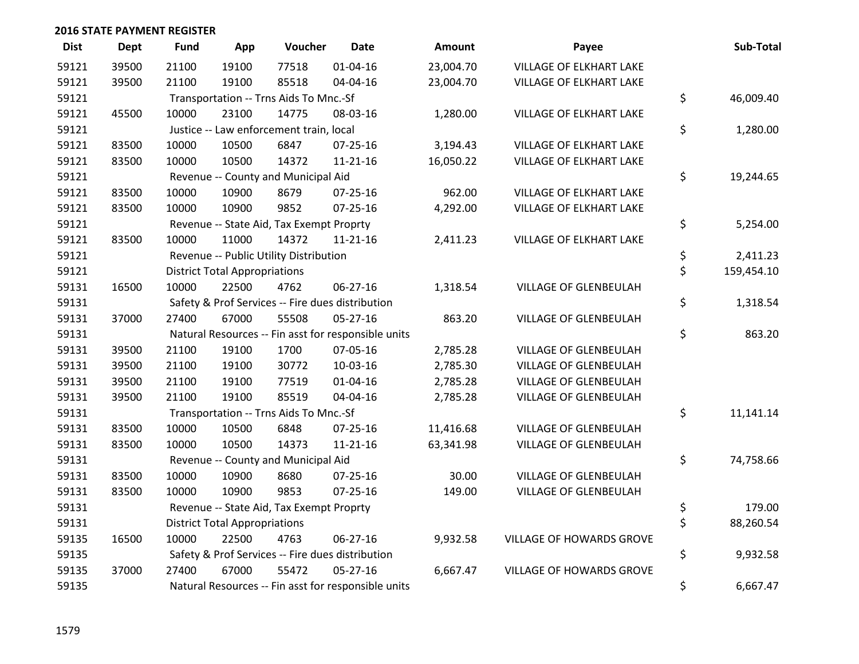| <b>Dist</b> | <b>Dept</b> | <b>Fund</b> | App                                  | Voucher                                  | <b>Date</b>                                         | <b>Amount</b> | Payee                          | Sub-Total        |
|-------------|-------------|-------------|--------------------------------------|------------------------------------------|-----------------------------------------------------|---------------|--------------------------------|------------------|
| 59121       | 39500       | 21100       | 19100                                | 77518                                    | $01 - 04 - 16$                                      | 23,004.70     | <b>VILLAGE OF ELKHART LAKE</b> |                  |
| 59121       | 39500       | 21100       | 19100                                | 85518                                    | 04-04-16                                            | 23,004.70     | VILLAGE OF ELKHART LAKE        |                  |
| 59121       |             |             |                                      | Transportation -- Trns Aids To Mnc.-Sf   |                                                     |               |                                | \$<br>46,009.40  |
| 59121       | 45500       | 10000       | 23100                                | 14775                                    | 08-03-16                                            | 1,280.00      | VILLAGE OF ELKHART LAKE        |                  |
| 59121       |             |             |                                      | Justice -- Law enforcement train, local  |                                                     |               |                                | \$<br>1,280.00   |
| 59121       | 83500       | 10000       | 10500                                | 6847                                     | 07-25-16                                            | 3,194.43      | <b>VILLAGE OF ELKHART LAKE</b> |                  |
| 59121       | 83500       | 10000       | 10500                                | 14372                                    | $11 - 21 - 16$                                      | 16,050.22     | VILLAGE OF ELKHART LAKE        |                  |
| 59121       |             |             |                                      | Revenue -- County and Municipal Aid      |                                                     |               |                                | \$<br>19,244.65  |
| 59121       | 83500       | 10000       | 10900                                | 8679                                     | $07 - 25 - 16$                                      | 962.00        | <b>VILLAGE OF ELKHART LAKE</b> |                  |
| 59121       | 83500       | 10000       | 10900                                | 9852                                     | $07 - 25 - 16$                                      | 4,292.00      | VILLAGE OF ELKHART LAKE        |                  |
| 59121       |             |             |                                      | Revenue -- State Aid, Tax Exempt Proprty |                                                     |               |                                | \$<br>5,254.00   |
| 59121       | 83500       | 10000       | 11000                                | 14372                                    | $11 - 21 - 16$                                      | 2,411.23      | VILLAGE OF ELKHART LAKE        |                  |
| 59121       |             |             |                                      | Revenue -- Public Utility Distribution   |                                                     |               |                                | \$<br>2,411.23   |
| 59121       |             |             | <b>District Total Appropriations</b> |                                          |                                                     |               |                                | \$<br>159,454.10 |
| 59131       | 16500       | 10000       | 22500                                | 4762                                     | 06-27-16                                            | 1,318.54      | VILLAGE OF GLENBEULAH          |                  |
| 59131       |             |             |                                      |                                          | Safety & Prof Services -- Fire dues distribution    |               |                                | \$<br>1,318.54   |
| 59131       | 37000       | 27400       | 67000                                | 55508                                    | $05 - 27 - 16$                                      | 863.20        | VILLAGE OF GLENBEULAH          |                  |
| 59131       |             |             |                                      |                                          | Natural Resources -- Fin asst for responsible units |               |                                | \$<br>863.20     |
| 59131       | 39500       | 21100       | 19100                                | 1700                                     | 07-05-16                                            | 2,785.28      | VILLAGE OF GLENBEULAH          |                  |
| 59131       | 39500       | 21100       | 19100                                | 30772                                    | 10-03-16                                            | 2,785.30      | <b>VILLAGE OF GLENBEULAH</b>   |                  |
| 59131       | 39500       | 21100       | 19100                                | 77519                                    | $01 - 04 - 16$                                      | 2,785.28      | VILLAGE OF GLENBEULAH          |                  |
| 59131       | 39500       | 21100       | 19100                                | 85519                                    | 04-04-16                                            | 2,785.28      | VILLAGE OF GLENBEULAH          |                  |
| 59131       |             |             |                                      | Transportation -- Trns Aids To Mnc.-Sf   |                                                     |               |                                | \$<br>11,141.14  |
| 59131       | 83500       | 10000       | 10500                                | 6848                                     | $07 - 25 - 16$                                      | 11,416.68     | VILLAGE OF GLENBEULAH          |                  |
| 59131       | 83500       | 10000       | 10500                                | 14373                                    | $11 - 21 - 16$                                      | 63,341.98     | VILLAGE OF GLENBEULAH          |                  |
| 59131       |             |             |                                      | Revenue -- County and Municipal Aid      |                                                     |               |                                | \$<br>74,758.66  |
| 59131       | 83500       | 10000       | 10900                                | 8680                                     | $07 - 25 - 16$                                      | 30.00         | <b>VILLAGE OF GLENBEULAH</b>   |                  |
| 59131       | 83500       | 10000       | 10900                                | 9853                                     | $07 - 25 - 16$                                      | 149.00        | VILLAGE OF GLENBEULAH          |                  |
| 59131       |             |             |                                      | Revenue -- State Aid, Tax Exempt Proprty |                                                     |               |                                | \$<br>179.00     |
| 59131       |             |             | <b>District Total Appropriations</b> |                                          |                                                     |               |                                | \$<br>88,260.54  |
| 59135       | 16500       | 10000       | 22500                                | 4763                                     | 06-27-16                                            | 9,932.58      | VILLAGE OF HOWARDS GROVE       |                  |
| 59135       |             |             |                                      |                                          | Safety & Prof Services -- Fire dues distribution    |               |                                | \$<br>9,932.58   |
| 59135       | 37000       | 27400       | 67000                                | 55472                                    | $05 - 27 - 16$                                      | 6,667.47      | VILLAGE OF HOWARDS GROVE       |                  |
| 59135       |             |             |                                      |                                          | Natural Resources -- Fin asst for responsible units |               |                                | \$<br>6,667.47   |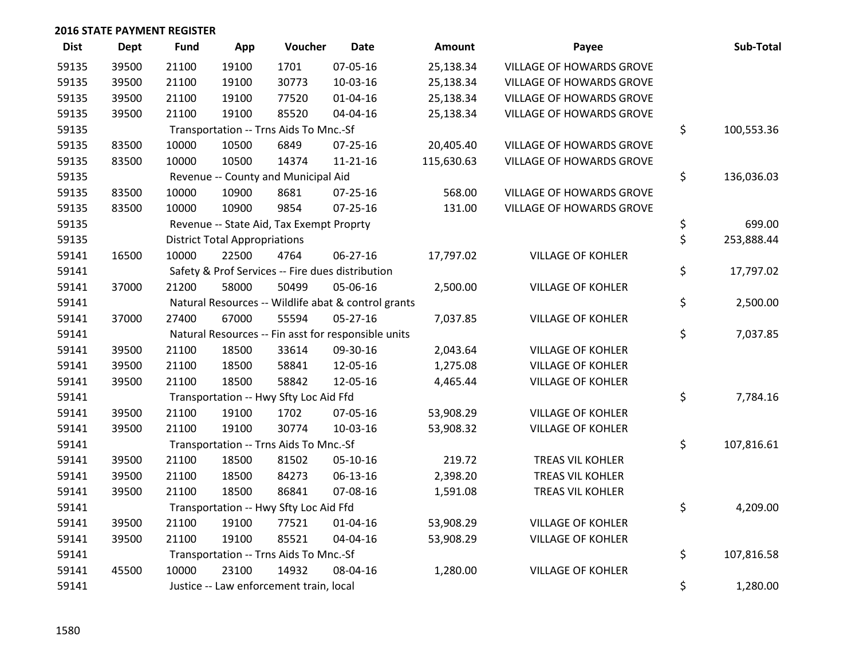| <b>Dist</b> | <b>Dept</b> | <b>Fund</b> | App                                  | Voucher                                  | <b>Date</b>                                         | <b>Amount</b> | Payee                           | Sub-Total        |
|-------------|-------------|-------------|--------------------------------------|------------------------------------------|-----------------------------------------------------|---------------|---------------------------------|------------------|
| 59135       | 39500       | 21100       | 19100                                | 1701                                     | 07-05-16                                            | 25,138.34     | VILLAGE OF HOWARDS GROVE        |                  |
| 59135       | 39500       | 21100       | 19100                                | 30773                                    | 10-03-16                                            | 25,138.34     | VILLAGE OF HOWARDS GROVE        |                  |
| 59135       | 39500       | 21100       | 19100                                | 77520                                    | $01 - 04 - 16$                                      | 25,138.34     | VILLAGE OF HOWARDS GROVE        |                  |
| 59135       | 39500       | 21100       | 19100                                | 85520                                    | 04-04-16                                            | 25,138.34     | <b>VILLAGE OF HOWARDS GROVE</b> |                  |
| 59135       |             |             |                                      | Transportation -- Trns Aids To Mnc.-Sf   |                                                     |               |                                 | \$<br>100,553.36 |
| 59135       | 83500       | 10000       | 10500                                | 6849                                     | 07-25-16                                            | 20,405.40     | <b>VILLAGE OF HOWARDS GROVE</b> |                  |
| 59135       | 83500       | 10000       | 10500                                | 14374                                    | $11 - 21 - 16$                                      | 115,630.63    | VILLAGE OF HOWARDS GROVE        |                  |
| 59135       |             |             |                                      | Revenue -- County and Municipal Aid      |                                                     |               |                                 | \$<br>136,036.03 |
| 59135       | 83500       | 10000       | 10900                                | 8681                                     | 07-25-16                                            | 568.00        | VILLAGE OF HOWARDS GROVE        |                  |
| 59135       | 83500       | 10000       | 10900                                | 9854                                     | $07 - 25 - 16$                                      | 131.00        | VILLAGE OF HOWARDS GROVE        |                  |
| 59135       |             |             |                                      | Revenue -- State Aid, Tax Exempt Proprty |                                                     |               |                                 | \$<br>699.00     |
| 59135       |             |             | <b>District Total Appropriations</b> |                                          |                                                     |               |                                 | \$<br>253,888.44 |
| 59141       | 16500       | 10000       | 22500                                | 4764                                     | 06-27-16                                            | 17,797.02     | <b>VILLAGE OF KOHLER</b>        |                  |
| 59141       |             |             |                                      |                                          | Safety & Prof Services -- Fire dues distribution    |               |                                 | \$<br>17,797.02  |
| 59141       | 37000       | 21200       | 58000                                | 50499                                    | 05-06-16                                            | 2,500.00      | <b>VILLAGE OF KOHLER</b>        |                  |
| 59141       |             |             |                                      |                                          | Natural Resources -- Wildlife abat & control grants |               |                                 | \$<br>2,500.00   |
| 59141       | 37000       | 27400       | 67000                                | 55594                                    | 05-27-16                                            | 7,037.85      | <b>VILLAGE OF KOHLER</b>        |                  |
| 59141       |             |             |                                      |                                          | Natural Resources -- Fin asst for responsible units |               |                                 | \$<br>7,037.85   |
| 59141       | 39500       | 21100       | 18500                                | 33614                                    | 09-30-16                                            | 2,043.64      | <b>VILLAGE OF KOHLER</b>        |                  |
| 59141       | 39500       | 21100       | 18500                                | 58841                                    | 12-05-16                                            | 1,275.08      | <b>VILLAGE OF KOHLER</b>        |                  |
| 59141       | 39500       | 21100       | 18500                                | 58842                                    | 12-05-16                                            | 4,465.44      | <b>VILLAGE OF KOHLER</b>        |                  |
| 59141       |             |             |                                      | Transportation -- Hwy Sfty Loc Aid Ffd   |                                                     |               |                                 | \$<br>7,784.16   |
| 59141       | 39500       | 21100       | 19100                                | 1702                                     | 07-05-16                                            | 53,908.29     | <b>VILLAGE OF KOHLER</b>        |                  |
| 59141       | 39500       | 21100       | 19100                                | 30774                                    | 10-03-16                                            | 53,908.32     | <b>VILLAGE OF KOHLER</b>        |                  |
| 59141       |             |             |                                      | Transportation -- Trns Aids To Mnc.-Sf   |                                                     |               |                                 | \$<br>107,816.61 |
| 59141       | 39500       | 21100       | 18500                                | 81502                                    | 05-10-16                                            | 219.72        | TREAS VIL KOHLER                |                  |
| 59141       | 39500       | 21100       | 18500                                | 84273                                    | 06-13-16                                            | 2,398.20      | TREAS VIL KOHLER                |                  |
| 59141       | 39500       | 21100       | 18500                                | 86841                                    | 07-08-16                                            | 1,591.08      | TREAS VIL KOHLER                |                  |
| 59141       |             |             |                                      | Transportation -- Hwy Sfty Loc Aid Ffd   |                                                     |               |                                 | \$<br>4,209.00   |
| 59141       | 39500       | 21100       | 19100                                | 77521                                    | $01 - 04 - 16$                                      | 53,908.29     | <b>VILLAGE OF KOHLER</b>        |                  |
| 59141       | 39500       | 21100       | 19100                                | 85521                                    | 04-04-16                                            | 53,908.29     | <b>VILLAGE OF KOHLER</b>        |                  |
| 59141       |             |             |                                      | Transportation -- Trns Aids To Mnc.-Sf   |                                                     |               |                                 | \$<br>107,816.58 |
| 59141       | 45500       | 10000       | 23100                                | 14932                                    | 08-04-16                                            | 1,280.00      | <b>VILLAGE OF KOHLER</b>        |                  |
| 59141       |             |             |                                      | Justice -- Law enforcement train, local  |                                                     |               |                                 | \$<br>1,280.00   |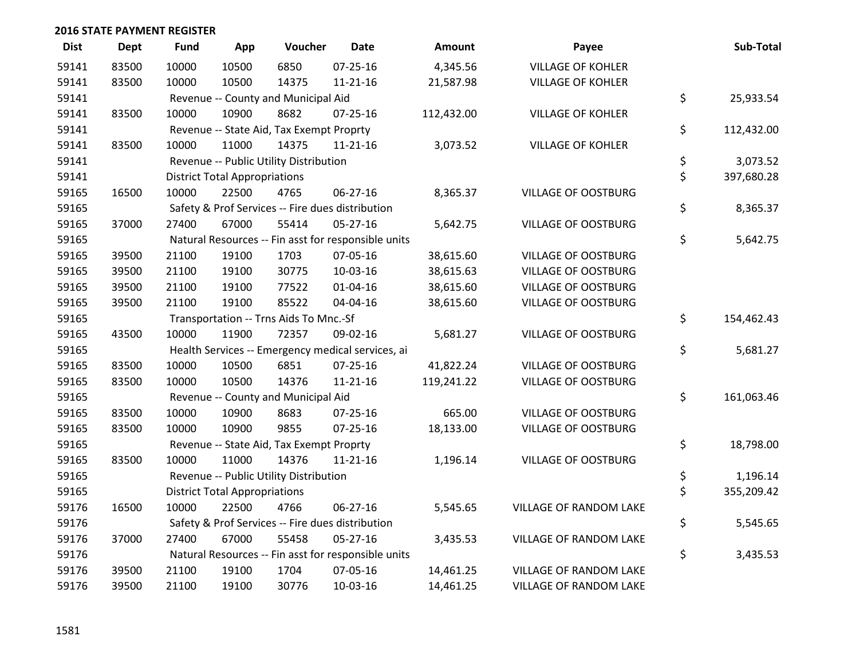| <b>Dist</b> | <b>Dept</b> | Fund  | App                                  | Voucher                                  | <b>Date</b>                                         | Amount     | Payee                      | Sub-Total        |
|-------------|-------------|-------|--------------------------------------|------------------------------------------|-----------------------------------------------------|------------|----------------------------|------------------|
| 59141       | 83500       | 10000 | 10500                                | 6850                                     | 07-25-16                                            | 4,345.56   | <b>VILLAGE OF KOHLER</b>   |                  |
| 59141       | 83500       | 10000 | 10500                                | 14375                                    | $11 - 21 - 16$                                      | 21,587.98  | <b>VILLAGE OF KOHLER</b>   |                  |
| 59141       |             |       |                                      | Revenue -- County and Municipal Aid      |                                                     |            |                            | \$<br>25,933.54  |
| 59141       | 83500       | 10000 | 10900                                | 8682                                     | 07-25-16                                            | 112,432.00 | <b>VILLAGE OF KOHLER</b>   |                  |
| 59141       |             |       |                                      | Revenue -- State Aid, Tax Exempt Proprty |                                                     |            |                            | \$<br>112,432.00 |
| 59141       | 83500       | 10000 | 11000                                | 14375                                    | $11 - 21 - 16$                                      | 3,073.52   | <b>VILLAGE OF KOHLER</b>   |                  |
| 59141       |             |       |                                      | Revenue -- Public Utility Distribution   |                                                     |            |                            | \$<br>3,073.52   |
| 59141       |             |       | <b>District Total Appropriations</b> |                                          |                                                     |            |                            | \$<br>397,680.28 |
| 59165       | 16500       | 10000 | 22500                                | 4765                                     | 06-27-16                                            | 8,365.37   | <b>VILLAGE OF OOSTBURG</b> |                  |
| 59165       |             |       |                                      |                                          | Safety & Prof Services -- Fire dues distribution    |            |                            | \$<br>8,365.37   |
| 59165       | 37000       | 27400 | 67000                                | 55414                                    | 05-27-16                                            | 5,642.75   | <b>VILLAGE OF OOSTBURG</b> |                  |
| 59165       |             |       |                                      |                                          | Natural Resources -- Fin asst for responsible units |            |                            | \$<br>5,642.75   |
| 59165       | 39500       | 21100 | 19100                                | 1703                                     | 07-05-16                                            | 38,615.60  | <b>VILLAGE OF OOSTBURG</b> |                  |
| 59165       | 39500       | 21100 | 19100                                | 30775                                    | 10-03-16                                            | 38,615.63  | <b>VILLAGE OF OOSTBURG</b> |                  |
| 59165       | 39500       | 21100 | 19100                                | 77522                                    | $01 - 04 - 16$                                      | 38,615.60  | <b>VILLAGE OF OOSTBURG</b> |                  |
| 59165       | 39500       | 21100 | 19100                                | 85522                                    | 04-04-16                                            | 38,615.60  | <b>VILLAGE OF OOSTBURG</b> |                  |
| 59165       |             |       |                                      | Transportation -- Trns Aids To Mnc.-Sf   |                                                     |            |                            | \$<br>154,462.43 |
| 59165       | 43500       | 10000 | 11900                                | 72357                                    | 09-02-16                                            | 5,681.27   | <b>VILLAGE OF OOSTBURG</b> |                  |
| 59165       |             |       |                                      |                                          | Health Services -- Emergency medical services, ai   |            |                            | \$<br>5,681.27   |
| 59165       | 83500       | 10000 | 10500                                | 6851                                     | 07-25-16                                            | 41,822.24  | <b>VILLAGE OF OOSTBURG</b> |                  |
| 59165       | 83500       | 10000 | 10500                                | 14376                                    | $11 - 21 - 16$                                      | 119,241.22 | <b>VILLAGE OF OOSTBURG</b> |                  |
| 59165       |             |       |                                      | Revenue -- County and Municipal Aid      |                                                     |            |                            | \$<br>161,063.46 |
| 59165       | 83500       | 10000 | 10900                                | 8683                                     | $07 - 25 - 16$                                      | 665.00     | <b>VILLAGE OF OOSTBURG</b> |                  |
| 59165       | 83500       | 10000 | 10900                                | 9855                                     | $07 - 25 - 16$                                      | 18,133.00  | <b>VILLAGE OF OOSTBURG</b> |                  |
| 59165       |             |       |                                      | Revenue -- State Aid, Tax Exempt Proprty |                                                     |            |                            | \$<br>18,798.00  |
| 59165       | 83500       | 10000 | 11000                                | 14376                                    | $11 - 21 - 16$                                      | 1,196.14   | <b>VILLAGE OF OOSTBURG</b> |                  |
| 59165       |             |       |                                      | Revenue -- Public Utility Distribution   |                                                     |            |                            | \$<br>1,196.14   |
| 59165       |             |       | <b>District Total Appropriations</b> |                                          |                                                     |            |                            | \$<br>355,209.42 |
| 59176       | 16500       | 10000 | 22500                                | 4766                                     | 06-27-16                                            | 5,545.65   | VILLAGE OF RANDOM LAKE     |                  |
| 59176       |             |       |                                      |                                          | Safety & Prof Services -- Fire dues distribution    |            |                            | \$<br>5,545.65   |
| 59176       | 37000       | 27400 | 67000                                | 55458                                    | 05-27-16                                            | 3,435.53   | VILLAGE OF RANDOM LAKE     |                  |
| 59176       |             |       |                                      |                                          | Natural Resources -- Fin asst for responsible units |            |                            | \$<br>3,435.53   |
| 59176       | 39500       | 21100 | 19100                                | 1704                                     | 07-05-16                                            | 14,461.25  | VILLAGE OF RANDOM LAKE     |                  |
| 59176       | 39500       | 21100 | 19100                                | 30776                                    | 10-03-16                                            | 14,461.25  | VILLAGE OF RANDOM LAKE     |                  |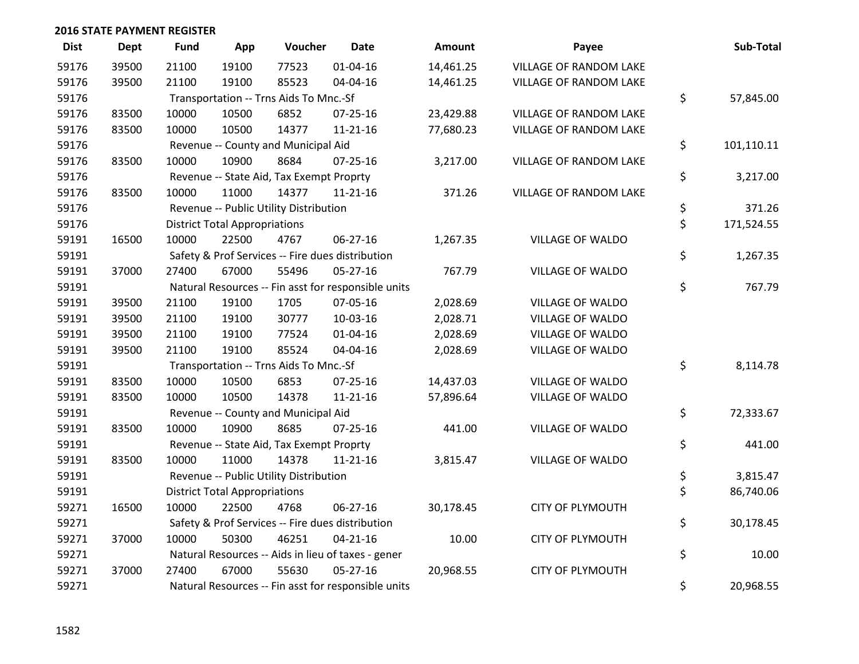| <b>Dist</b> | <b>Dept</b> | Fund  | App                                  | Voucher                                  | <b>Date</b>                                         | <b>Amount</b> | Payee                         | Sub-Total        |
|-------------|-------------|-------|--------------------------------------|------------------------------------------|-----------------------------------------------------|---------------|-------------------------------|------------------|
| 59176       | 39500       | 21100 | 19100                                | 77523                                    | $01 - 04 - 16$                                      | 14,461.25     | VILLAGE OF RANDOM LAKE        |                  |
| 59176       | 39500       | 21100 | 19100                                | 85523                                    | 04-04-16                                            | 14,461.25     | VILLAGE OF RANDOM LAKE        |                  |
| 59176       |             |       |                                      | Transportation -- Trns Aids To Mnc.-Sf   |                                                     |               |                               | \$<br>57,845.00  |
| 59176       | 83500       | 10000 | 10500                                | 6852                                     | $07 - 25 - 16$                                      | 23,429.88     | VILLAGE OF RANDOM LAKE        |                  |
| 59176       | 83500       | 10000 | 10500                                | 14377                                    | $11 - 21 - 16$                                      | 77,680.23     | VILLAGE OF RANDOM LAKE        |                  |
| 59176       |             |       |                                      | Revenue -- County and Municipal Aid      |                                                     |               |                               | \$<br>101,110.11 |
| 59176       | 83500       | 10000 | 10900                                | 8684                                     | $07 - 25 - 16$                                      | 3,217.00      | <b>VILLAGE OF RANDOM LAKE</b> |                  |
| 59176       |             |       |                                      | Revenue -- State Aid, Tax Exempt Proprty |                                                     |               |                               | \$<br>3,217.00   |
| 59176       | 83500       | 10000 | 11000                                | 14377                                    | $11 - 21 - 16$                                      | 371.26        | VILLAGE OF RANDOM LAKE        |                  |
| 59176       |             |       |                                      | Revenue -- Public Utility Distribution   |                                                     |               |                               | \$<br>371.26     |
| 59176       |             |       | <b>District Total Appropriations</b> |                                          |                                                     |               |                               | \$<br>171,524.55 |
| 59191       | 16500       | 10000 | 22500                                | 4767                                     | 06-27-16                                            | 1,267.35      | VILLAGE OF WALDO              |                  |
| 59191       |             |       |                                      |                                          | Safety & Prof Services -- Fire dues distribution    |               |                               | \$<br>1,267.35   |
| 59191       | 37000       | 27400 | 67000                                | 55496                                    | 05-27-16                                            | 767.79        | <b>VILLAGE OF WALDO</b>       |                  |
| 59191       |             |       |                                      |                                          | Natural Resources -- Fin asst for responsible units |               |                               | \$<br>767.79     |
| 59191       | 39500       | 21100 | 19100                                | 1705                                     | 07-05-16                                            | 2,028.69      | VILLAGE OF WALDO              |                  |
| 59191       | 39500       | 21100 | 19100                                | 30777                                    | 10-03-16                                            | 2,028.71      | VILLAGE OF WALDO              |                  |
| 59191       | 39500       | 21100 | 19100                                | 77524                                    | $01 - 04 - 16$                                      | 2,028.69      | <b>VILLAGE OF WALDO</b>       |                  |
| 59191       | 39500       | 21100 | 19100                                | 85524                                    | 04-04-16                                            | 2,028.69      | VILLAGE OF WALDO              |                  |
| 59191       |             |       |                                      | Transportation -- Trns Aids To Mnc.-Sf   |                                                     |               |                               | \$<br>8,114.78   |
| 59191       | 83500       | 10000 | 10500                                | 6853                                     | $07 - 25 - 16$                                      | 14,437.03     | <b>VILLAGE OF WALDO</b>       |                  |
| 59191       | 83500       | 10000 | 10500                                | 14378                                    | $11 - 21 - 16$                                      | 57,896.64     | VILLAGE OF WALDO              |                  |
| 59191       |             |       |                                      | Revenue -- County and Municipal Aid      |                                                     |               |                               | \$<br>72,333.67  |
| 59191       | 83500       | 10000 | 10900                                | 8685                                     | $07 - 25 - 16$                                      | 441.00        | VILLAGE OF WALDO              |                  |
| 59191       |             |       |                                      | Revenue -- State Aid, Tax Exempt Proprty |                                                     |               |                               | \$<br>441.00     |
| 59191       | 83500       | 10000 | 11000                                | 14378                                    | $11 - 21 - 16$                                      | 3,815.47      | VILLAGE OF WALDO              |                  |
| 59191       |             |       |                                      | Revenue -- Public Utility Distribution   |                                                     |               |                               | \$<br>3,815.47   |
| 59191       |             |       | <b>District Total Appropriations</b> |                                          |                                                     |               |                               | \$<br>86,740.06  |
| 59271       | 16500       | 10000 | 22500                                | 4768                                     | 06-27-16                                            | 30,178.45     | <b>CITY OF PLYMOUTH</b>       |                  |
| 59271       |             |       |                                      |                                          | Safety & Prof Services -- Fire dues distribution    |               |                               | \$<br>30,178.45  |
| 59271       | 37000       | 10000 | 50300                                | 46251                                    | $04 - 21 - 16$                                      | 10.00         | <b>CITY OF PLYMOUTH</b>       |                  |
| 59271       |             |       |                                      |                                          | Natural Resources -- Aids in lieu of taxes - gener  |               |                               | \$<br>10.00      |
| 59271       | 37000       | 27400 | 67000                                | 55630                                    | $05 - 27 - 16$                                      | 20,968.55     | <b>CITY OF PLYMOUTH</b>       |                  |
| 59271       |             |       |                                      |                                          | Natural Resources -- Fin asst for responsible units |               |                               | \$<br>20,968.55  |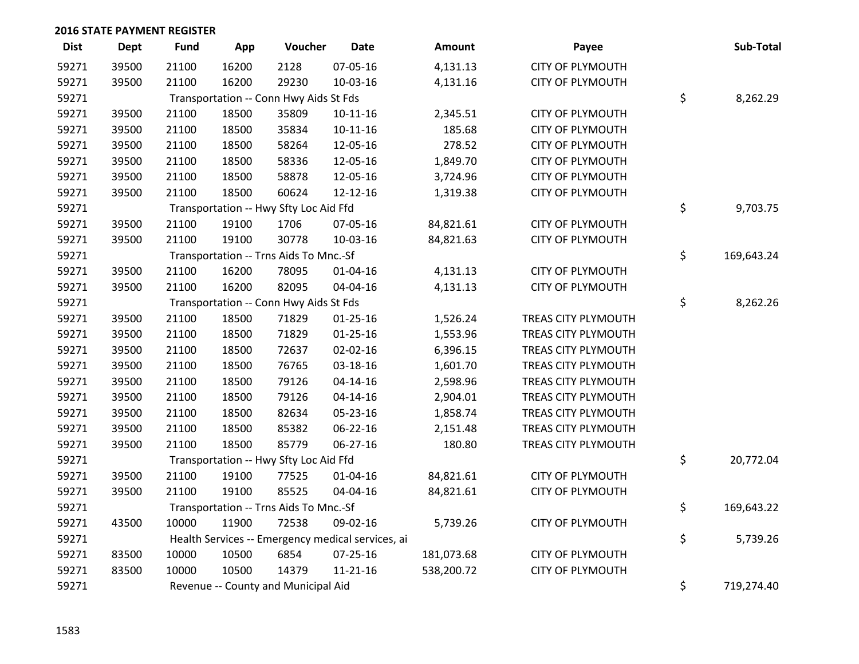| <b>Dist</b> | <b>Dept</b> | Fund  | App   | Voucher                                | <b>Date</b>                                       | Amount     | Payee                      | Sub-Total        |
|-------------|-------------|-------|-------|----------------------------------------|---------------------------------------------------|------------|----------------------------|------------------|
| 59271       | 39500       | 21100 | 16200 | 2128                                   | 07-05-16                                          | 4,131.13   | <b>CITY OF PLYMOUTH</b>    |                  |
| 59271       | 39500       | 21100 | 16200 | 29230                                  | 10-03-16                                          | 4,131.16   | <b>CITY OF PLYMOUTH</b>    |                  |
| 59271       |             |       |       | Transportation -- Conn Hwy Aids St Fds |                                                   |            |                            | \$<br>8,262.29   |
| 59271       | 39500       | 21100 | 18500 | 35809                                  | $10 - 11 - 16$                                    | 2,345.51   | <b>CITY OF PLYMOUTH</b>    |                  |
| 59271       | 39500       | 21100 | 18500 | 35834                                  | $10 - 11 - 16$                                    | 185.68     | <b>CITY OF PLYMOUTH</b>    |                  |
| 59271       | 39500       | 21100 | 18500 | 58264                                  | 12-05-16                                          | 278.52     | <b>CITY OF PLYMOUTH</b>    |                  |
| 59271       | 39500       | 21100 | 18500 | 58336                                  | 12-05-16                                          | 1,849.70   | <b>CITY OF PLYMOUTH</b>    |                  |
| 59271       | 39500       | 21100 | 18500 | 58878                                  | 12-05-16                                          | 3,724.96   | <b>CITY OF PLYMOUTH</b>    |                  |
| 59271       | 39500       | 21100 | 18500 | 60624                                  | 12-12-16                                          | 1,319.38   | <b>CITY OF PLYMOUTH</b>    |                  |
| 59271       |             |       |       | Transportation -- Hwy Sfty Loc Aid Ffd |                                                   |            |                            | \$<br>9,703.75   |
| 59271       | 39500       | 21100 | 19100 | 1706                                   | 07-05-16                                          | 84,821.61  | <b>CITY OF PLYMOUTH</b>    |                  |
| 59271       | 39500       | 21100 | 19100 | 30778                                  | 10-03-16                                          | 84,821.63  | <b>CITY OF PLYMOUTH</b>    |                  |
| 59271       |             |       |       | Transportation -- Trns Aids To Mnc.-Sf |                                                   |            |                            | \$<br>169,643.24 |
| 59271       | 39500       | 21100 | 16200 | 78095                                  | $01 - 04 - 16$                                    | 4,131.13   | <b>CITY OF PLYMOUTH</b>    |                  |
| 59271       | 39500       | 21100 | 16200 | 82095                                  | 04-04-16                                          | 4,131.13   | <b>CITY OF PLYMOUTH</b>    |                  |
| 59271       |             |       |       | Transportation -- Conn Hwy Aids St Fds |                                                   |            |                            | \$<br>8,262.26   |
| 59271       | 39500       | 21100 | 18500 | 71829                                  | $01 - 25 - 16$                                    | 1,526.24   | TREAS CITY PLYMOUTH        |                  |
| 59271       | 39500       | 21100 | 18500 | 71829                                  | $01 - 25 - 16$                                    | 1,553.96   | TREAS CITY PLYMOUTH        |                  |
| 59271       | 39500       | 21100 | 18500 | 72637                                  | 02-02-16                                          | 6,396.15   | TREAS CITY PLYMOUTH        |                  |
| 59271       | 39500       | 21100 | 18500 | 76765                                  | 03-18-16                                          | 1,601.70   | TREAS CITY PLYMOUTH        |                  |
| 59271       | 39500       | 21100 | 18500 | 79126                                  | $04 - 14 - 16$                                    | 2,598.96   | <b>TREAS CITY PLYMOUTH</b> |                  |
| 59271       | 39500       | 21100 | 18500 | 79126                                  | $04 - 14 - 16$                                    | 2,904.01   | TREAS CITY PLYMOUTH        |                  |
| 59271       | 39500       | 21100 | 18500 | 82634                                  | 05-23-16                                          | 1,858.74   | TREAS CITY PLYMOUTH        |                  |
| 59271       | 39500       | 21100 | 18500 | 85382                                  | 06-22-16                                          | 2,151.48   | TREAS CITY PLYMOUTH        |                  |
| 59271       | 39500       | 21100 | 18500 | 85779                                  | 06-27-16                                          | 180.80     | TREAS CITY PLYMOUTH        |                  |
| 59271       |             |       |       | Transportation -- Hwy Sfty Loc Aid Ffd |                                                   |            |                            | \$<br>20,772.04  |
| 59271       | 39500       | 21100 | 19100 | 77525                                  | $01 - 04 - 16$                                    | 84,821.61  | <b>CITY OF PLYMOUTH</b>    |                  |
| 59271       | 39500       | 21100 | 19100 | 85525                                  | 04-04-16                                          | 84,821.61  | <b>CITY OF PLYMOUTH</b>    |                  |
| 59271       |             |       |       | Transportation -- Trns Aids To Mnc.-Sf |                                                   |            |                            | \$<br>169,643.22 |
| 59271       | 43500       | 10000 | 11900 | 72538                                  | 09-02-16                                          | 5,739.26   | <b>CITY OF PLYMOUTH</b>    |                  |
| 59271       |             |       |       |                                        | Health Services -- Emergency medical services, ai |            |                            | \$<br>5,739.26   |
| 59271       | 83500       | 10000 | 10500 | 6854                                   | 07-25-16                                          | 181,073.68 | <b>CITY OF PLYMOUTH</b>    |                  |
| 59271       | 83500       | 10000 | 10500 | 14379                                  | $11 - 21 - 16$                                    | 538,200.72 | <b>CITY OF PLYMOUTH</b>    |                  |
| 59271       |             |       |       | Revenue -- County and Municipal Aid    |                                                   |            |                            | \$<br>719,274.40 |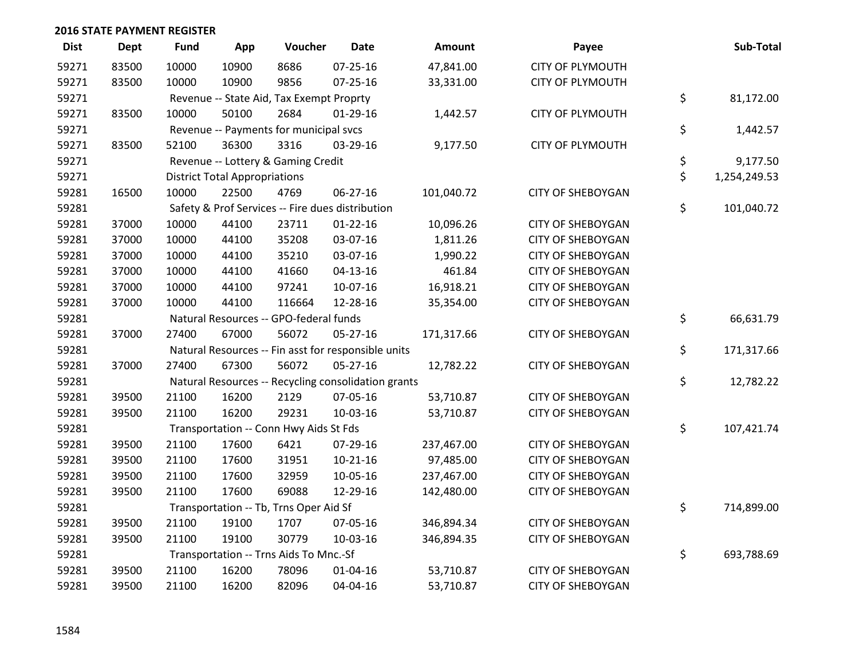| <b>Dist</b> | <b>Dept</b> | <b>Fund</b>                                         | App                                  | Voucher                                | <b>Date</b>                                         | Amount     | Payee                    |    | Sub-Total    |
|-------------|-------------|-----------------------------------------------------|--------------------------------------|----------------------------------------|-----------------------------------------------------|------------|--------------------------|----|--------------|
| 59271       | 83500       | 10000                                               | 10900                                | 8686                                   | $07 - 25 - 16$                                      | 47,841.00  | <b>CITY OF PLYMOUTH</b>  |    |              |
| 59271       | 83500       | 10000                                               | 10900                                | 9856                                   | 07-25-16                                            | 33,331.00  | <b>CITY OF PLYMOUTH</b>  |    |              |
| 59271       |             | Revenue -- State Aid, Tax Exempt Proprty            | \$                                   | 81,172.00                              |                                                     |            |                          |    |              |
| 59271       | 83500       | 10000                                               | 50100                                | 2684                                   | $01-29-16$                                          | 1,442.57   | <b>CITY OF PLYMOUTH</b>  |    |              |
| 59271       |             | Revenue -- Payments for municipal svcs              | \$                                   | 1,442.57                               |                                                     |            |                          |    |              |
| 59271       | 83500       | 52100                                               | 36300                                | 3316                                   | 03-29-16                                            | 9,177.50   | <b>CITY OF PLYMOUTH</b>  |    |              |
| 59271       |             |                                                     |                                      | Revenue -- Lottery & Gaming Credit     |                                                     |            |                          | \$ | 9,177.50     |
| 59271       |             |                                                     | <b>District Total Appropriations</b> |                                        |                                                     |            |                          | \$ | 1,254,249.53 |
| 59281       | 16500       | 10000                                               | 22500                                | 4769                                   | 06-27-16                                            | 101,040.72 | <b>CITY OF SHEBOYGAN</b> |    |              |
| 59281       |             |                                                     |                                      |                                        | Safety & Prof Services -- Fire dues distribution    |            |                          | \$ | 101,040.72   |
| 59281       | 37000       | 10000                                               | 44100                                | 23711                                  | $01 - 22 - 16$                                      | 10,096.26  | <b>CITY OF SHEBOYGAN</b> |    |              |
| 59281       | 37000       | 10000                                               | 44100                                | 35208                                  | 03-07-16                                            | 1,811.26   | <b>CITY OF SHEBOYGAN</b> |    |              |
| 59281       | 37000       | 10000                                               | 44100                                | 35210                                  | 03-07-16                                            | 1,990.22   | <b>CITY OF SHEBOYGAN</b> |    |              |
| 59281       | 37000       | 10000                                               | 44100                                | 41660                                  | $04 - 13 - 16$                                      | 461.84     | <b>CITY OF SHEBOYGAN</b> |    |              |
| 59281       | 37000       | 10000                                               | 44100                                | 97241                                  | 10-07-16                                            | 16,918.21  | <b>CITY OF SHEBOYGAN</b> |    |              |
| 59281       | 37000       | 10000                                               | 44100                                | 116664                                 | 12-28-16                                            | 35,354.00  | <b>CITY OF SHEBOYGAN</b> |    |              |
| 59281       |             |                                                     |                                      | Natural Resources -- GPO-federal funds |                                                     |            |                          | \$ | 66,631.79    |
| 59281       | 37000       | 27400                                               | 67000                                | 56072                                  | 05-27-16                                            | 171,317.66 | <b>CITY OF SHEBOYGAN</b> |    |              |
| 59281       |             | Natural Resources -- Fin asst for responsible units | \$                                   | 171,317.66                             |                                                     |            |                          |    |              |
| 59281       | 37000       | 27400                                               | 67300                                | 56072                                  | $05 - 27 - 16$                                      | 12,782.22  | <b>CITY OF SHEBOYGAN</b> |    |              |
| 59281       |             |                                                     |                                      |                                        | Natural Resources -- Recycling consolidation grants |            |                          | \$ | 12,782.22    |
| 59281       | 39500       | 21100                                               | 16200                                | 2129                                   | 07-05-16                                            | 53,710.87  | <b>CITY OF SHEBOYGAN</b> |    |              |
| 59281       | 39500       | 21100                                               | 16200                                | 29231                                  | 10-03-16                                            | 53,710.87  | <b>CITY OF SHEBOYGAN</b> |    |              |
| 59281       |             |                                                     |                                      | Transportation -- Conn Hwy Aids St Fds |                                                     |            |                          | \$ | 107,421.74   |
| 59281       | 39500       | 21100                                               | 17600                                | 6421                                   | 07-29-16                                            | 237,467.00 | <b>CITY OF SHEBOYGAN</b> |    |              |
| 59281       | 39500       | 21100                                               | 17600                                | 31951                                  | $10-21-16$                                          | 97,485.00  | <b>CITY OF SHEBOYGAN</b> |    |              |
| 59281       | 39500       | 21100                                               | 17600                                | 32959                                  | 10-05-16                                            | 237,467.00 | <b>CITY OF SHEBOYGAN</b> |    |              |
| 59281       | 39500       | 21100                                               | 17600                                | 69088                                  | 12-29-16                                            | 142,480.00 | <b>CITY OF SHEBOYGAN</b> |    |              |
| 59281       |             | Transportation -- Tb, Trns Oper Aid Sf              |                                      |                                        |                                                     |            |                          |    |              |
| 59281       | 39500       | 21100                                               | 19100                                | 1707                                   | 07-05-16                                            | 346,894.34 | <b>CITY OF SHEBOYGAN</b> |    |              |
| 59281       | 39500       | 21100                                               | 19100                                | 30779                                  | 10-03-16                                            | 346,894.35 | <b>CITY OF SHEBOYGAN</b> |    |              |
| 59281       |             |                                                     |                                      | Transportation -- Trns Aids To Mnc.-Sf |                                                     |            |                          | \$ | 693,788.69   |
| 59281       | 39500       | 21100                                               | 16200                                | 78096                                  | $01 - 04 - 16$                                      | 53,710.87  | <b>CITY OF SHEBOYGAN</b> |    |              |
| 59281       | 39500       | 21100                                               | 16200                                | 82096                                  | 04-04-16                                            | 53,710.87  | <b>CITY OF SHEBOYGAN</b> |    |              |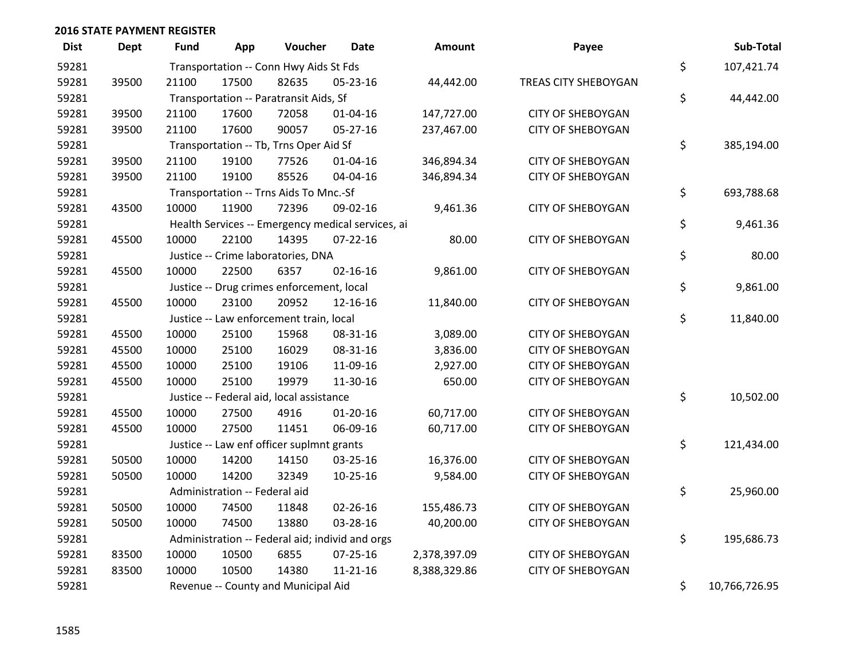| <b>Dist</b> | <b>Dept</b> | <b>Fund</b>                                     | App                                    | Voucher                                   | <b>Date</b>                                       | Amount       | Payee                    |    | Sub-Total  |  |  |
|-------------|-------------|-------------------------------------------------|----------------------------------------|-------------------------------------------|---------------------------------------------------|--------------|--------------------------|----|------------|--|--|
| 59281       |             | Transportation -- Conn Hwy Aids St Fds          |                                        |                                           |                                                   |              |                          |    | 107,421.74 |  |  |
| 59281       | 39500       | 21100                                           | 17500                                  | 82635                                     | 05-23-16                                          | 44,442.00    | TREAS CITY SHEBOYGAN     | \$ |            |  |  |
| 59281       |             |                                                 | Transportation -- Paratransit Aids, Sf |                                           |                                                   |              |                          |    |            |  |  |
| 59281       | 39500       | 21100                                           | 17600                                  | 72058                                     | $01 - 04 - 16$                                    | 147,727.00   | <b>CITY OF SHEBOYGAN</b> | \$ |            |  |  |
| 59281       | 39500       | 21100                                           | 17600                                  | 90057                                     | 05-27-16                                          | 237,467.00   | <b>CITY OF SHEBOYGAN</b> |    |            |  |  |
| 59281       |             |                                                 | Transportation -- Tb, Trns Oper Aid Sf |                                           |                                                   |              |                          |    |            |  |  |
| 59281       | 39500       | 21100                                           | 19100                                  | 77526                                     | 01-04-16                                          | 346,894.34   | <b>CITY OF SHEBOYGAN</b> |    |            |  |  |
| 59281       | 39500       | 21100                                           | 19100                                  | 85526                                     | 04-04-16                                          | 346,894.34   | <b>CITY OF SHEBOYGAN</b> |    |            |  |  |
| 59281       |             |                                                 |                                        | Transportation -- Trns Aids To Mnc.-Sf    |                                                   |              |                          | \$ | 693,788.68 |  |  |
| 59281       | 43500       | 10000                                           | 11900                                  | 72396                                     | 09-02-16                                          | 9,461.36     | <b>CITY OF SHEBOYGAN</b> |    |            |  |  |
| 59281       |             |                                                 |                                        |                                           | Health Services -- Emergency medical services, ai |              |                          | \$ | 9,461.36   |  |  |
| 59281       | 45500       | 10000                                           | 22100                                  | 14395                                     | $07 - 22 - 16$                                    | 80.00        | <b>CITY OF SHEBOYGAN</b> |    |            |  |  |
| 59281       |             |                                                 |                                        | Justice -- Crime laboratories, DNA        |                                                   |              |                          | \$ | 80.00      |  |  |
| 59281       | 45500       | 10000                                           | 22500                                  | 6357                                      | $02 - 16 - 16$                                    | 9,861.00     | <b>CITY OF SHEBOYGAN</b> |    |            |  |  |
| 59281       |             |                                                 |                                        | Justice -- Drug crimes enforcement, local |                                                   |              |                          | \$ | 9,861.00   |  |  |
| 59281       | 45500       | 10000                                           | 23100                                  | 20952                                     | 12-16-16                                          | 11,840.00    | <b>CITY OF SHEBOYGAN</b> |    |            |  |  |
| 59281       |             |                                                 |                                        | Justice -- Law enforcement train, local   |                                                   |              |                          | \$ | 11,840.00  |  |  |
| 59281       | 45500       | 10000                                           | 25100                                  | 15968                                     | 08-31-16                                          | 3,089.00     | <b>CITY OF SHEBOYGAN</b> |    |            |  |  |
| 59281       | 45500       | 10000                                           | 25100                                  | 16029                                     | 08-31-16                                          | 3,836.00     | <b>CITY OF SHEBOYGAN</b> |    |            |  |  |
| 59281       | 45500       | 10000                                           | 25100                                  | 19106                                     | 11-09-16                                          | 2,927.00     | <b>CITY OF SHEBOYGAN</b> |    |            |  |  |
| 59281       | 45500       | 10000                                           | 25100                                  | 19979                                     | 11-30-16                                          | 650.00       | <b>CITY OF SHEBOYGAN</b> |    |            |  |  |
| 59281       |             |                                                 |                                        | Justice -- Federal aid, local assistance  |                                                   |              |                          | \$ | 10,502.00  |  |  |
| 59281       | 45500       | 10000                                           | 27500                                  | 4916                                      | $01-20-16$                                        | 60,717.00    | <b>CITY OF SHEBOYGAN</b> |    |            |  |  |
| 59281       | 45500       | 10000                                           | 27500                                  | 11451                                     | 06-09-16                                          | 60,717.00    | <b>CITY OF SHEBOYGAN</b> |    |            |  |  |
| 59281       |             |                                                 |                                        | Justice -- Law enf officer suplmnt grants |                                                   |              |                          | \$ | 121,434.00 |  |  |
| 59281       | 50500       | 10000                                           | 14200                                  | 14150                                     | 03-25-16                                          | 16,376.00    | <b>CITY OF SHEBOYGAN</b> |    |            |  |  |
| 59281       | 50500       | 10000                                           | 14200                                  | 32349                                     | $10 - 25 - 16$                                    | 9,584.00     | <b>CITY OF SHEBOYGAN</b> |    |            |  |  |
| 59281       |             | Administration -- Federal aid                   | \$                                     | 25,960.00                                 |                                                   |              |                          |    |            |  |  |
| 59281       | 50500       | 10000                                           | 74500                                  | 11848                                     | $02 - 26 - 16$                                    | 155,486.73   | <b>CITY OF SHEBOYGAN</b> |    |            |  |  |
| 59281       | 50500       | 10000                                           | 74500                                  | 13880                                     | 03-28-16                                          | 40,200.00    | <b>CITY OF SHEBOYGAN</b> |    |            |  |  |
| 59281       |             | Administration -- Federal aid; individ and orgs | \$                                     | 195,686.73                                |                                                   |              |                          |    |            |  |  |
| 59281       | 83500       | 10000                                           | 10500                                  | 6855                                      | 07-25-16                                          | 2,378,397.09 | <b>CITY OF SHEBOYGAN</b> |    |            |  |  |
| 59281       | 83500       | 10000                                           | 10500                                  | 14380                                     | $11 - 21 - 16$                                    | 8,388,329.86 | <b>CITY OF SHEBOYGAN</b> |    |            |  |  |
| 59281       |             | Revenue -- County and Municipal Aid             | \$                                     | 10,766,726.95                             |                                                   |              |                          |    |            |  |  |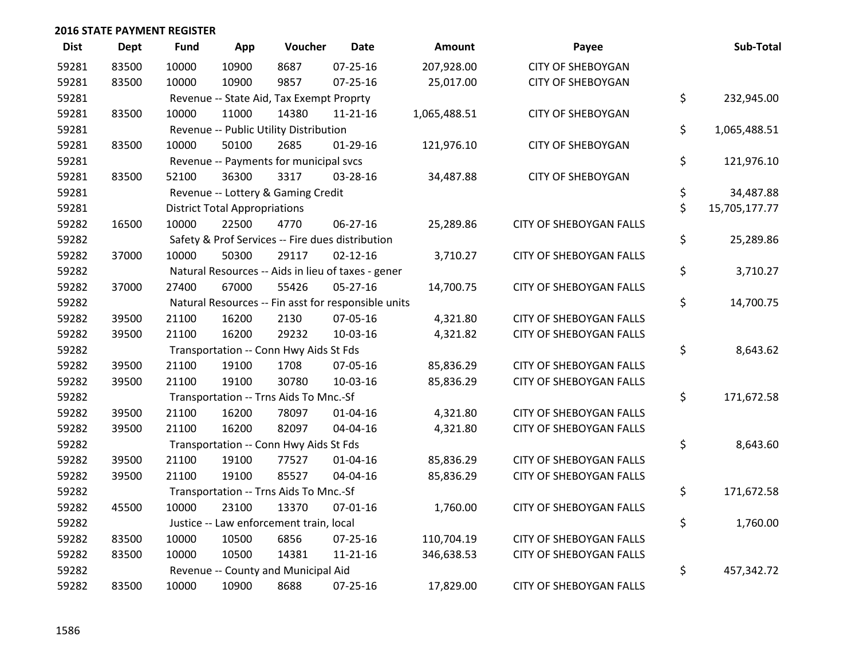| <b>Dist</b> | <b>Dept</b> | <b>Fund</b>                              | App                                    | Voucher                                | <b>Date</b>                                         | <b>Amount</b> | Payee                          |    | Sub-Total     |  |
|-------------|-------------|------------------------------------------|----------------------------------------|----------------------------------------|-----------------------------------------------------|---------------|--------------------------------|----|---------------|--|
| 59281       | 83500       | 10000                                    | 10900                                  | 8687                                   | $07 - 25 - 16$                                      | 207,928.00    | <b>CITY OF SHEBOYGAN</b>       |    |               |  |
| 59281       | 83500       | 10000                                    | 10900                                  | 9857                                   | $07 - 25 - 16$                                      | 25,017.00     | <b>CITY OF SHEBOYGAN</b>       |    |               |  |
| 59281       |             | Revenue -- State Aid, Tax Exempt Proprty | \$                                     | 232,945.00                             |                                                     |               |                                |    |               |  |
| 59281       | 83500       | 10000                                    | 11000                                  | 14380                                  | $11 - 21 - 16$                                      | 1,065,488.51  | <b>CITY OF SHEBOYGAN</b>       |    |               |  |
| 59281       |             |                                          | Revenue -- Public Utility Distribution |                                        |                                                     |               |                                |    |               |  |
| 59281       | 83500       | 10000                                    | 50100                                  | 2685                                   | $01-29-16$                                          | 121,976.10    | <b>CITY OF SHEBOYGAN</b>       |    |               |  |
| 59281       |             |                                          |                                        | Revenue -- Payments for municipal svcs |                                                     |               |                                | \$ | 121,976.10    |  |
| 59281       | 83500       | 52100                                    | 36300                                  | 3317                                   | 03-28-16                                            | 34,487.88     | <b>CITY OF SHEBOYGAN</b>       |    |               |  |
| 59281       |             |                                          |                                        | Revenue -- Lottery & Gaming Credit     |                                                     |               |                                | \$ | 34,487.88     |  |
| 59281       |             |                                          | <b>District Total Appropriations</b>   |                                        |                                                     |               |                                | \$ | 15,705,177.77 |  |
| 59282       | 16500       | 10000                                    | 22500                                  | 4770                                   | 06-27-16                                            | 25,289.86     | <b>CITY OF SHEBOYGAN FALLS</b> |    |               |  |
| 59282       |             |                                          |                                        |                                        | Safety & Prof Services -- Fire dues distribution    |               |                                | \$ | 25,289.86     |  |
| 59282       | 37000       | 10000                                    | 50300                                  | 29117                                  | $02 - 12 - 16$                                      | 3,710.27      | <b>CITY OF SHEBOYGAN FALLS</b> |    |               |  |
| 59282       |             |                                          |                                        |                                        | Natural Resources -- Aids in lieu of taxes - gener  |               |                                | \$ | 3,710.27      |  |
| 59282       | 37000       | 27400                                    | 67000                                  | 55426                                  | 05-27-16                                            | 14,700.75     | <b>CITY OF SHEBOYGAN FALLS</b> |    |               |  |
| 59282       |             |                                          |                                        |                                        | Natural Resources -- Fin asst for responsible units |               |                                | \$ | 14,700.75     |  |
| 59282       | 39500       | 21100                                    | 16200                                  | 2130                                   | 07-05-16                                            | 4,321.80      | <b>CITY OF SHEBOYGAN FALLS</b> |    |               |  |
| 59282       | 39500       | 21100                                    | 16200                                  | 29232                                  | 10-03-16                                            | 4,321.82      | <b>CITY OF SHEBOYGAN FALLS</b> |    |               |  |
| 59282       |             |                                          |                                        | Transportation -- Conn Hwy Aids St Fds |                                                     |               |                                | \$ | 8,643.62      |  |
| 59282       | 39500       | 21100                                    | 19100                                  | 1708                                   | 07-05-16                                            | 85,836.29     | <b>CITY OF SHEBOYGAN FALLS</b> |    |               |  |
| 59282       | 39500       | 21100                                    | 19100                                  | 30780                                  | 10-03-16                                            | 85,836.29     | <b>CITY OF SHEBOYGAN FALLS</b> |    |               |  |
| 59282       |             |                                          |                                        | Transportation -- Trns Aids To Mnc.-Sf |                                                     |               |                                | \$ | 171,672.58    |  |
| 59282       | 39500       | 21100                                    | 16200                                  | 78097                                  | 01-04-16                                            | 4,321.80      | <b>CITY OF SHEBOYGAN FALLS</b> |    |               |  |
| 59282       | 39500       | 21100                                    | 16200                                  | 82097                                  | 04-04-16                                            | 4,321.80      | CITY OF SHEBOYGAN FALLS        |    |               |  |
| 59282       |             |                                          |                                        | Transportation -- Conn Hwy Aids St Fds |                                                     |               |                                | \$ | 8,643.60      |  |
| 59282       | 39500       | 21100                                    | 19100                                  | 77527                                  | $01 - 04 - 16$                                      | 85,836.29     | <b>CITY OF SHEBOYGAN FALLS</b> |    |               |  |
| 59282       | 39500       | 21100                                    | 19100                                  | 85527                                  | 04-04-16                                            | 85,836.29     | <b>CITY OF SHEBOYGAN FALLS</b> |    |               |  |
| 59282       |             |                                          |                                        | Transportation -- Trns Aids To Mnc.-Sf |                                                     |               |                                | \$ | 171,672.58    |  |
| 59282       | 45500       | 10000                                    | 23100                                  | 13370                                  | $07 - 01 - 16$                                      | 1,760.00      | <b>CITY OF SHEBOYGAN FALLS</b> |    |               |  |
| 59282       |             | Justice -- Law enforcement train, local  |                                        |                                        |                                                     |               |                                |    | 1,760.00      |  |
| 59282       | 83500       | 10000                                    | 10500                                  | 6856                                   | 07-25-16                                            | 110,704.19    | <b>CITY OF SHEBOYGAN FALLS</b> |    |               |  |
| 59282       | 83500       | 10000                                    | 10500                                  | 14381                                  | $11 - 21 - 16$                                      | 346,638.53    | CITY OF SHEBOYGAN FALLS        |    |               |  |
| 59282       |             |                                          |                                        | Revenue -- County and Municipal Aid    |                                                     |               |                                | \$ | 457,342.72    |  |
| 59282       | 83500       | 10000                                    | 10900                                  | 8688                                   | $07 - 25 - 16$                                      | 17,829.00     | <b>CITY OF SHEBOYGAN FALLS</b> |    |               |  |